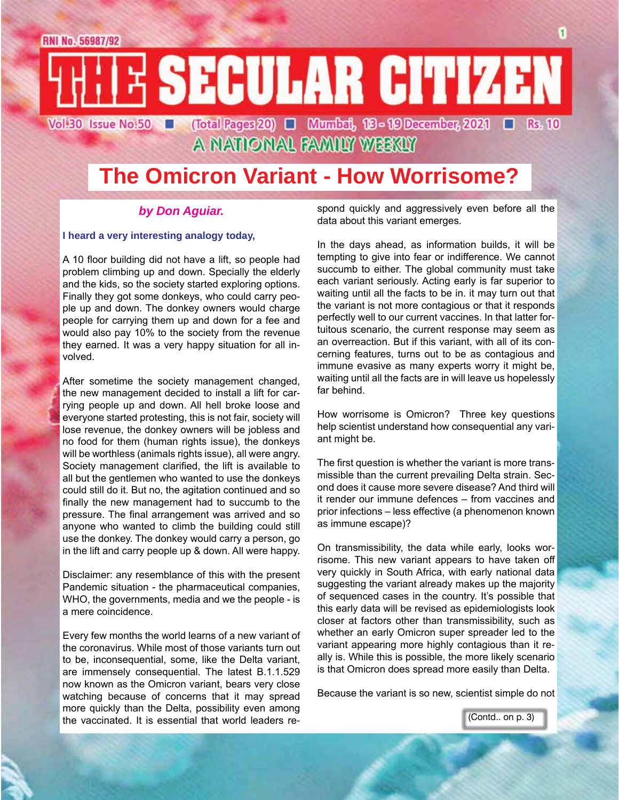### E SECULAR CITIZEN Vol:30 Issue No:50 (Total Pages 20) | Mumbai, 18 - 19 December, 2021 | Rs. 10

A NATIONAL FAMILY WEEKLY

## **The Omicron Variant - How Worrisome?**

### *by Don Aguiar.*

### **I heard a very interesting analogy today,**

A 10 floor building did not have a lift, so people had problem climbing up and down. Specially the elderly and the kids, so the society started exploring options. Finally they got some donkeys, who could carry people up and down. The donkey owners would charge people for carrying them up and down for a fee and would also pay 10% to the society from the revenue they earned. It was a very happy situation for all involved.

After sometime the society management changed, the new management decided to install a lift for carrying people up and down. All hell broke loose and everyone started protesting, this is not fair, society will lose revenue, the donkey owners will be jobless and no food for them (human rights issue), the donkeys will be worthless (animals rights issue), all were angry. Society management clarified, the lift is available to all but the gentlemen who wanted to use the donkeys could still do it. But no, the agitation continued and so finally the new management had to succumb to the pressure. The final arrangement was arrived and so anyone who wanted to climb the building could still use the donkey. The donkey would carry a person, go in the lift and carry people up & down. All were happy.

Disclaimer: any resemblance of this with the present Pandemic situation - the pharmaceutical companies, WHO, the governments, media and we the people - is a mere coincidence.

Every few months the world learns of a new variant of the coronavirus. While most of those variants turn out to be, inconsequential, some, like the Delta variant, are immensely consequential. The latest B.1.1.529 now known as the Omicron variant, bears very close watching because of concerns that it may spread more quickly than the Delta, possibility even among the vaccinated. It is essential that world leaders respond quickly and aggressively even before all the data about this variant emerges.

In the days ahead, as information builds, it will be tempting to give into fear or indifference. We cannot succumb to either. The global community must take each variant seriously. Acting early is far superior to waiting until all the facts to be in. it may turn out that the variant is not more contagious or that it responds perfectly well to our current vaccines. In that latter fortuitous scenario, the current response may seem as an overreaction. But if this variant, with all of its concerning features, turns out to be as contagious and immune evasive as many experts worry it might be, waiting until all the facts are in will leave us hopelessly far behind.

How worrisome is Omicron? Three key questions help scientist understand how consequential any variant might be.

The first question is whether the variant is more transmissible than the current prevailing Delta strain. Second does it cause more severe disease? And third will it render our immune defences – from vaccines and prior infections – less effective (a phenomenon known as immune escape)?

On transmissibility, the data while early, looks worrisome. This new variant appears to have taken off very quickly in South Africa, with early national data suggesting the variant already makes up the majority of sequenced cases in the country. It's possible that this early data will be revised as epidemiologists look closer at factors other than transmissibility, such as whether an early Omicron super spreader led to the variant appearing more highly contagious than it really is. While this is possible, the more likely scenario is that Omicron does spread more easily than Delta.

Because the variant is so new, scientist simple do not

(Contd.. on p. 3)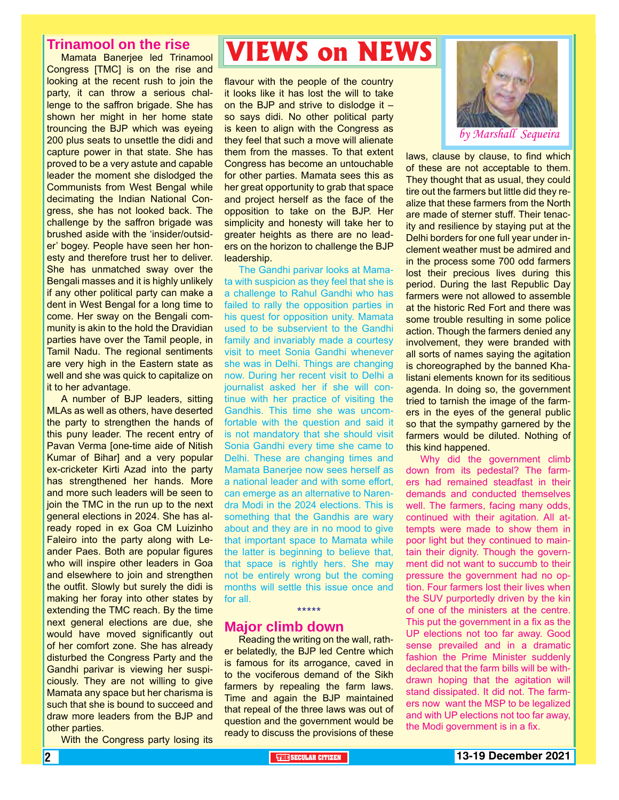### **Trinamool on the rise**

Mamata Banerjee led Trinamool Congress [TMC] is on the rise and looking at the recent rush to join the party, it can throw a serious challenge to the saffron brigade. She has shown her might in her home state trouncing the BJP which was eyeing 200 plus seats to unsettle the didi and capture power in that state. She has proved to be a very astute and capable leader the moment she dislodged the Communists from West Bengal while decimating the Indian National Congress, she has not looked back. The challenge by the saffron brigade was brushed aside with the 'insider/outsider' bogey. People have seen her honesty and therefore trust her to deliver. She has unmatched sway over the Bengali masses and it is highly unlikely if any other political party can make a dent in West Bengal for a long time to come. Her sway on the Bengali community is akin to the hold the Dravidian parties have over the Tamil people, in Tamil Nadu. The regional sentiments are very high in the Eastern state as well and she was quick to capitalize on it to her advantage.

A number of BJP leaders, sitting MLAs as well as others, have deserted the party to strengthen the hands of this puny leader. The recent entry of Pavan Verma [one-time aide of Nitish Kumar of Bihar] and a very popular ex-cricketer Kirti Azad into the party has strengthened her hands. More and more such leaders will be seen to join the TMC in the run up to the next general elections in 2024. She has already roped in ex Goa CM Luizinho Faleiro into the party along with Leander Paes. Both are popular figures who will inspire other leaders in Goa and elsewhere to join and strengthen the outfit. Slowly but surely the didi is making her foray into other states by extending the TMC reach. By the time next general elections are due, she would have moved significantly out of her comfort zone. She has already disturbed the Congress Party and the Gandhi parivar is viewing her suspiciously. They are not willing to give Mamata any space but her charisma is such that she is bound to succeed and draw more leaders from the BJP and other parties.

With the Congress party losing its

# **VIEWS on NEWS**

flavour with the people of the country it looks like it has lost the will to take on the BJP and strive to dislodge it – so says didi. No other political party is keen to align with the Congress as they feel that such a move will alienate them from the masses. To that extent Congress has become an untouchable for other parties. Mamata sees this as her great opportunity to grab that space and project herself as the face of the opposition to take on the BJP. Her simplicity and honesty will take her to greater heights as there are no leaders on the horizon to challenge the BJP leadership.

The Gandhi parivar looks at Mamata with suspicion as they feel that she is a challenge to Rahul Gandhi who has failed to rally the opposition parties in his quest for opposition unity. Mamata used to be subservient to the Gandhi family and invariably made a courtesy visit to meet Sonia Gandhi whenever she was in Delhi. Things are changing now. During her recent visit to Delhi a journalist asked her if she will continue with her practice of visiting the Gandhis. This time she was uncomfortable with the question and said it is not mandatory that she should visit Sonia Gandhi every time she came to Delhi. These are changing times and Mamata Banerjee now sees herself as a national leader and with some effort, can emerge as an alternative to Narendra Modi in the 2024 elections. This is something that the Gandhis are wary about and they are in no mood to give that important space to Mamata while the latter is beginning to believe that, that space is rightly hers. She may not be entirely wrong but the coming months will settle this issue once and for all. \*\*\*\*\*

### **Major climb down**

Reading the writing on the wall, rather belatedly, the BJP led Centre which is famous for its arrogance, caved in to the vociferous demand of the Sikh farmers by repealing the farm laws. Time and again the BJP maintained that repeal of the three laws was out of question and the government would be ready to discuss the provisions of these



laws, clause by clause, to find which of these are not acceptable to them. They thought that as usual, they could tire out the farmers but little did they realize that these farmers from the North are made of sterner stuff. Their tenacity and resilience by staying put at the Delhi borders for one full year under inclement weather must be admired and in the process some 700 odd farmers lost their precious lives during this period. During the last Republic Day farmers were not allowed to assemble at the historic Red Fort and there was some trouble resulting in some police action. Though the farmers denied any involvement, they were branded with all sorts of names saying the agitation is choreographed by the banned Khalistani elements known for its seditious agenda. In doing so, the government tried to tarnish the image of the farmers in the eyes of the general public so that the sympathy garnered by the farmers would be diluted. Nothing of this kind happened.

Why did the government climb down from its pedestal? The farmers had remained steadfast in their demands and conducted themselves well. The farmers, facing many odds, continued with their agitation. All attempts were made to show them in poor light but they continued to maintain their dignity. Though the government did not want to succumb to their pressure the government had no option. Four farmers lost their lives when the SUV purportedly driven by the kin of one of the ministers at the centre. This put the government in a fix as the UP elections not too far away. Good sense prevailed and in a dramatic fashion the Prime Minister suddenly declared that the farm bills will be withdrawn hoping that the agitation will stand dissipated. It did not. The farmers now want the MSP to be legalized and with UP elections not too far away, the Modi government is in a fix.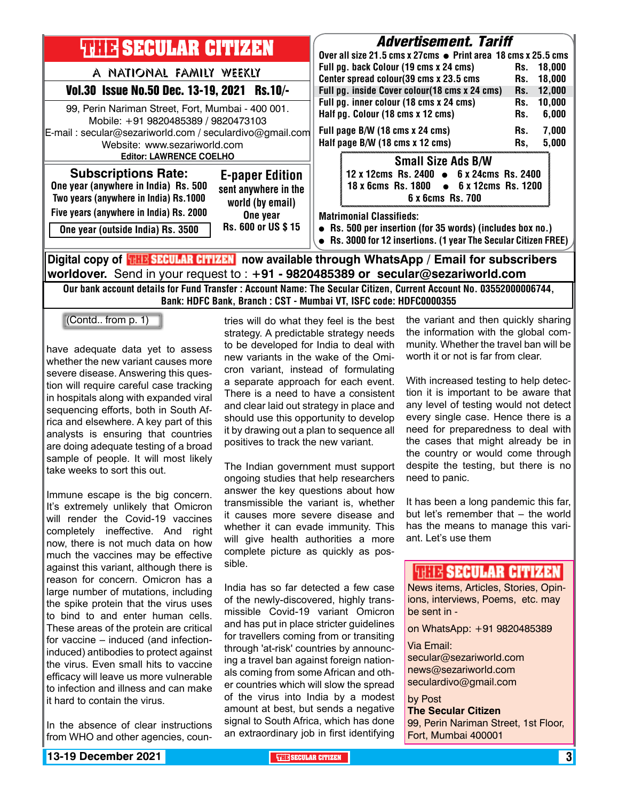| <b>THEF SECULAR CITIZEN</b>                                                                                                                                                                                                                                    | <b>Advertisement. Tariff</b><br>Over all size 21.5 cms x 27cms ● Print area 18 cms x 25.5 cms                                                                                                                                                                                                                                                                                                               |  |  |  |
|----------------------------------------------------------------------------------------------------------------------------------------------------------------------------------------------------------------------------------------------------------------|-------------------------------------------------------------------------------------------------------------------------------------------------------------------------------------------------------------------------------------------------------------------------------------------------------------------------------------------------------------------------------------------------------------|--|--|--|
| A NATIONAL FAMILY WEEKLY<br>Vol.30 Issue No.50 Dec. 13-19, 2021 Rs.10/-<br>99, Perin Nariman Street, Fort, Mumbai - 400 001.<br>Mobile: +91 9820485389 / 9820473103<br>E-mail: secular@sezariworld.com / seculardivo@gmail.com<br>Website: www.sezariworld.com | Full pg. back Colour (19 cms x 24 cms)<br>18.000<br>Rs.<br>Center spread colour(39 cms x 23.5 cms<br>18,000<br>Rs.<br>Full pg. inside Cover colour(18 cms x 24 cms)<br>12,000<br>Rs.<br>Full pg. inner colour (18 cms x 24 cms)<br>10,000<br>Rs.<br>Half pg. Colour (18 cms x 12 cms)<br>6,000<br>Rs.<br>Full page B/W (18 cms x 24 cms)<br>7.000<br>Rs.<br>Half page B/W (18 cms x 12 cms)<br>5,000<br>Rs. |  |  |  |
| <b>Editor: LAWRENCE COELHO</b><br><b>Subscriptions Rate:</b><br><b>E-paper Edition</b><br>One year (anywhere in India) Rs. 500<br>sent anywhere in the<br>Two years (anywhere in India) Rs.1000<br>world (by email)                                            | <b>Small Size Ads B/W</b><br>12 x 12cms Rs. 2400 $\bullet$ 6 x 24cms Rs. 2400<br>18 x 6cms Rs. 1800 • 6 x 12cms Rs. 1200<br>6 x 6cms Rs. 700                                                                                                                                                                                                                                                                |  |  |  |
| Five years (anywhere in India) Rs. 2000<br>One year<br>Rs. 600 or US \$15<br>One year (outside India) Rs. 3500                                                                                                                                                 | <b>Matrimonial Classifieds:</b><br>• Rs. 500 per insertion (for 35 words) (includes box no.)<br>Rs. 3000 for 12 insertions. (1 year The Secular Citizen FREE)                                                                                                                                                                                                                                               |  |  |  |
| Digital copy of <mark>珊路SECULAR CITIMAN</mark> now available through WhatsApp / Email for subscribers                                                                                                                                                          |                                                                                                                                                                                                                                                                                                                                                                                                             |  |  |  |

**worldover.** Send in your request to : **+91 - 9820485389 or secular@sezariworld.com** Our bank account details for Fund Transfer : Account Name: The Secular Citizen, Current Account No. 03552000006744,

Bank: HDFC Bank, Branch : CST - Mumbai VT, ISFC code: HDFC0000355

(Contd.. from p. 1)

have adequate data yet to assess whether the new variant causes more severe disease. Answering this question will require careful case tracking in hospitals along with expanded viral sequencing efforts, both in South Africa and elsewhere. A key part of this analysts is ensuring that countries are doing adequate testing of a broad sample of people. It will most likely take weeks to sort this out.

Immune escape is the big concern. It's extremely unlikely that Omicron will render the Covid-19 vaccines completely ineffective. And right now, there is not much data on how much the vaccines may be effective against this variant, although there is reason for concern. Omicron has a large number of mutations, including the spike protein that the virus uses to bind to and enter human cells. These areas of the protein are critical for vaccine – induced (and infectioninduced) antibodies to protect against the virus. Even small hits to vaccine efficacy will leave us more vulnerable to infection and illness and can make it hard to contain the virus.

In the absence of clear instructions from WHO and other agencies, countries will do what they feel is the best strategy. A predictable strategy needs to be developed for India to deal with new variants in the wake of the Omicron variant, instead of formulating a separate approach for each event. There is a need to have a consistent and clear laid out strategy in place and should use this opportunity to develop it by drawing out a plan to sequence all positives to track the new variant.

The Indian government must support ongoing studies that help researchers answer the key questions about how transmissible the variant is, whether it causes more severe disease and whether it can evade immunity. This will give health authorities a more complete picture as quickly as possible.

India has so far detected a few case of the newly-discovered, highly transmissible Covid-19 variant Omicron and has put in place stricter guidelines for travellers coming from or transiting through 'at-risk' countries by announcing a travel ban against foreign nationals coming from some African and other countries which will slow the spread of the virus into India by a modest amount at best, but sends a negative signal to South Africa, which has done an extraordinary job in first identifying

the variant and then quickly sharing the information with the global community. Whether the travel ban will be worth it or not is far from clear.

With increased testing to help detection it is important to be aware that any level of testing would not detect every single case. Hence there is a need for preparedness to deal with the cases that might already be in the country or would come through despite the testing, but there is no need to panic.

It has been a long pandemic this far, but let's remember that – the world has the means to manage this variant. Let's use them

### **ISBN SECULAR CITIZEN**

News items, Articles, Stories, Opinions, interviews, Poems, etc. may be sent in -

on WhatsApp: +91 9820485389

### Via Email:

secular@sezariworld.com news@sezariworld.com seculardivo@gmail.com

by Post **The Secular Citizen** 99, Perin Nariman Street, 1st Floor, Fort, Mumbai 400001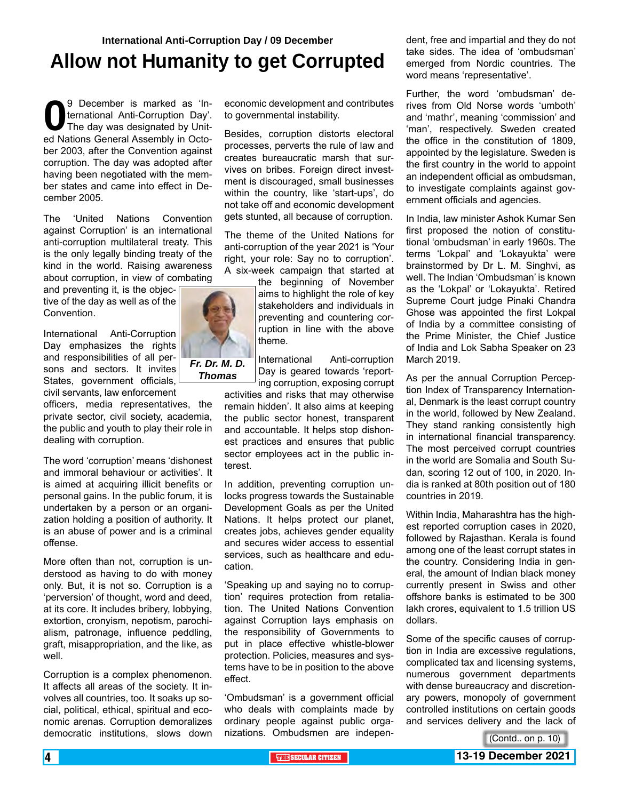## **Allow not Humanity to get Corrupted**

9 December is marked as 'In-<br>ternational Anti-Corruption Day'.<br>The day was designated by Unit-<br>ed Nations General Assembly in Octoternational Anti-Corruption Day'. The day was designated by United Nations General Assembly in October 2003, after the Convention against corruption. The day was adopted after having been negotiated with the member states and came into effect in December 2005.

The 'United Nations Convention against Corruption' is an international anti-corruption multilateral treaty. This is the only legally binding treaty of the kind in the world. Raising awareness about corruption, in view of combating

and preventing it, is the objective of the day as well as of the Convention.

International Anti-Corruption Day emphasizes the rights and responsibilities of all persons and sectors. It invites States, government officials,

civil servants, law enforcement officers, media representatives, the private sector, civil society, academia, the public and youth to play their role in dealing with corruption.

The word 'corruption' means 'dishonest and immoral behaviour or activities'. It is aimed at acquiring illicit benefits or personal gains. In the public forum, it is undertaken by a person or an organization holding a position of authority. It is an abuse of power and is a criminal offense.

More often than not, corruption is understood as having to do with money only. But, it is not so. Corruption is a 'perversion' of thought, word and deed, at its core. It includes bribery, lobbying, extortion, cronyism, nepotism, parochialism, patronage, influence peddling, graft, misappropriation, and the like, as well.

Corruption is a complex phenomenon. It affects all areas of the society. It involves all countries, too. It soaks up social, political, ethical, spiritual and economic arenas. Corruption demoralizes democratic institutions, slows down

economic development and contributes to governmental instability.

Besides, corruption distorts electoral processes, perverts the rule of law and creates bureaucratic marsh that survives on bribes. Foreign direct investment is discouraged, small businesses within the country, like 'start-ups', do not take off and economic development gets stunted, all because of corruption.

The theme of the United Nations for anti-corruption of the year 2021 is 'Your right, your role: Say no to corruption'. A six-week campaign that started at

the beginning of November aims to highlight the role of key stakeholders and individuals in preventing and countering corruption in line with the above theme.

International Anti-corruption Day is geared towards 'reporting corruption, exposing corrupt

activities and risks that may otherwise remain hidden'. It also aims at keeping the public sector honest, transparent and accountable. It helps stop dishonest practices and ensures that public sector employees act in the public interest.

In addition, preventing corruption unlocks progress towards the Sustainable Development Goals as per the United Nations. It helps protect our planet, creates jobs, achieves gender equality and secures wider access to essential services, such as healthcare and education.

'Speaking up and saying no to corruption' requires protection from retaliation. The United Nations Convention against Corruption lays emphasis on the responsibility of Governments to put in place effective whistle-blower protection. Policies, measures and systems have to be in position to the above effect.

'Ombudsman' is a government official who deals with complaints made by ordinary people against public organizations. Ombudsmen are independent, free and impartial and they do not take sides. The idea of 'ombudsman' emerged from Nordic countries. The word means 'representative'.

Further, the word 'ombudsman' derives from Old Norse words 'umboth' and 'mathr', meaning 'commission' and 'man', respectively. Sweden created the office in the constitution of 1809, appointed by the legislature. Sweden is the first country in the world to appoint an independent official as ombudsman, to investigate complaints against government officials and agencies.

In India, law minister Ashok Kumar Sen first proposed the notion of constitutional 'ombudsman' in early 1960s. The terms 'Lokpal' and 'Lokayukta' were brainstormed by Dr L. M. Singhvi, as well. The Indian 'Ombudsman' is known as the 'Lokpal' or 'Lokayukta'. Retired Supreme Court judge Pinaki Chandra Ghose was appointed the first Lokpal of India by a committee consisting of the Prime Minister, the Chief Justice of India and Lok Sabha Speaker on 23 March 2019.

As per the annual Corruption Perception Index of Transparency International, Denmark is the least corrupt country in the world, followed by New Zealand. They stand ranking consistently high in international financial transparency. The most perceived corrupt countries in the world are Somalia and South Sudan, scoring 12 out of 100, in 2020. India is ranked at 80th position out of 180 countries in 2019.

Within India, Maharashtra has the highest reported corruption cases in 2020, followed by Rajasthan. Kerala is found among one of the least corrupt states in the country. Considering India in general, the amount of Indian black money currently present in Swiss and other offshore banks is estimated to be 300 lakh crores, equivalent to 1.5 trillion US dollars.

Some of the specific causes of corruption in India are excessive regulations, complicated tax and licensing systems, numerous government departments with dense bureaucracy and discretionary powers, monopoly of government controlled institutions on certain goods and services delivery and the lack of

(Contd.. on p. 10)

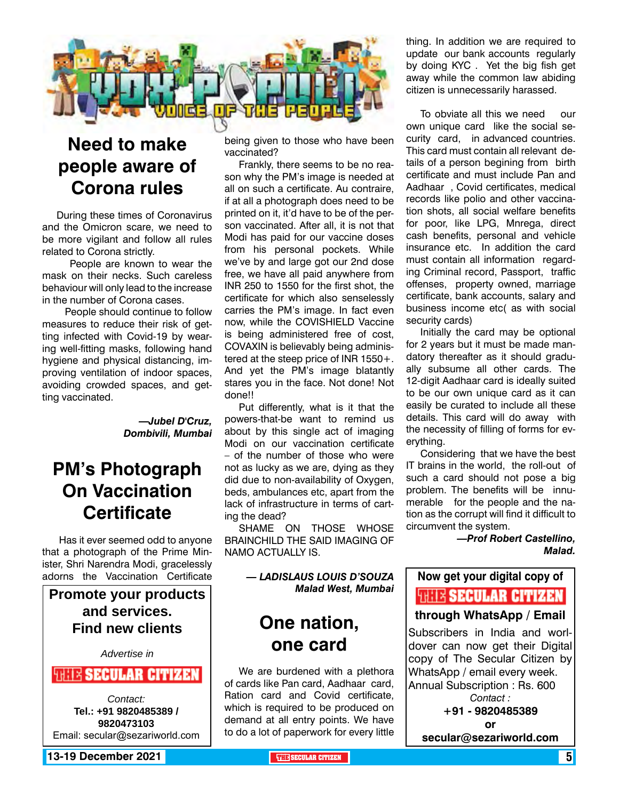

## **Need to make people aware of Corona rules**

During these times of Coronavirus and the Omicron scare, we need to be more vigilant and follow all rules related to Corona strictly.

 People are known to wear the mask on their necks. Such careless behaviour will only lead to the increase in the number of Corona cases.

 People should continue to follow measures to reduce their risk of getting infected with Covid-19 by wearing well-fitting masks, following hand hygiene and physical distancing, improving ventilation of indoor spaces, avoiding crowded spaces, and getting vaccinated.

> *—Jubel D'Cruz, Dombivili, Mumbai*

### **PM's Photograph On Vaccination Certificate**

 Has it ever seemed odd to anyone that a photograph of the Prime Minister, Shri Narendra Modi, gracelessly adorns the Vaccination Certificate

**Promote your products and services. Find new clients**

*Advertise in*

**WELL'S SECULAR CITIZEN** 

*Contact:* **Tel.: +91 9820485389 / 9820473103** Email: secular@sezariworld.com

**13-19 December 2021 THE THE THE THE SECULAR CITIZEN THE THE SECULAR CITIZEN** 

being given to those who have been vaccinated?

Frankly, there seems to be no reason why the PM's image is needed at all on such a certificate. Au contraire, if at all a photograph does need to be printed on it, it'd have to be of the person vaccinated. After all, it is not that Modi has paid for our vaccine doses from his personal pockets. While we've by and large got our 2nd dose free, we have all paid anywhere from INR 250 to 1550 for the first shot, the certificate for which also senselessly carries the PM's image. In fact even now, while the COVISHIELD Vaccine is being administered free of cost, COVAXIN is believably being administered at the steep price of INR 1550+. And yet the PM's image blatantly stares you in the face. Not done! Not done!!

Put differently, what is it that the powers-that-be want to remind us about by this single act of imaging Modi on our vaccination certificate – of the number of those who were not as lucky as we are, dying as they did due to non-availability of Oxygen, beds, ambulances etc, apart from the lack of infrastructure in terms of carting the dead?

SHAME ON THOSE WHOSE BRAINCHILD THE SAID IMAGING OF NAMO ACTUALLY IS.

### *— LADISLAUS LOUIS D'SOUZA Malad West, Mumbai*

### **One nation, one card**

We are burdened with a plethora of cards like Pan card, Aadhaar card, Ration card and Covid certificate, which is required to be produced on demand at all entry points. We have to do a lot of paperwork for every little thing. In addition we are required to update our bank accounts regularly by doing KYC . Yet the big fish get away while the common law abiding citizen is unnecessarily harassed.

To obviate all this we need our own unique card like the social security card, in advanced countries. This card must contain all relevant details of a person begining from birth certificate and must include Pan and Aadhaar , Covid certificates, medical records like polio and other vaccination shots, all social welfare benefits for poor, like LPG, Mnrega, direct cash benefits, personal and vehicle insurance etc. In addition the card must contain all information regarding Criminal record, Passport, traffic offenses, property owned, marriage certificate, bank accounts, salary and business income etc( as with social security cards)

Initially the card may be optional for 2 years but it must be made mandatory thereafter as it should gradually subsume all other cards. The 12-digit Aadhaar card is ideally suited to be our own unique card as it can easily be curated to include all these details. This card will do away with the necessity of filling of forms for everything.

Considering that we have the best IT brains in the world, the roll-out of such a card should not pose a big problem. The benefits will be innumerable for the people and the nation as the corrupt will find it difficult to circumvent the system.

> *—Prof Robert Castellino, Malad.*

## **Now get your digital copy of**

**THIS SECULAR CITIZEN** 

### **through WhatsApp / Email**

Subscribers in India and worldover can now get their Digital copy of The Secular Citizen by WhatsApp / email every week. Annual Subscription : Rs. 600 *Contact :* **+91 - 9820485389**

**or** 

**secular@sezariworld.com**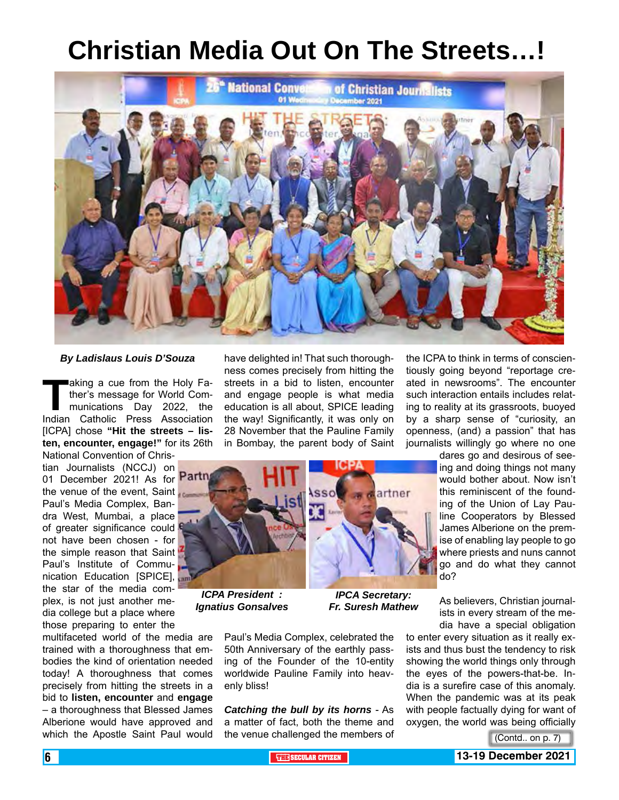# **Christian Media Out On The Streets…!**



### *By Ladislaus Louis D'Souza*

**Taking a cue from the Holy Fa-**<br>ther's message for World Com-<br>munications Day 2022, the<br>Indian Catholic Press Association ther's message for World Communications Day 2022, the Indian Catholic Press Association [ICPA] chose **"Hit the streets – listen, encounter, engage!"** for its 26th National Convention of Chris-

tian Journalists (NCCJ) on 01 December 2021! As for the venue of the event, Saint Paul's Media Complex, Bandra West, Mumbai, a place of greater significance could not have been chosen - for the simple reason that Saint Paul's Institute of Communication Education [SPICE], the star of the media complex, is not just another media college but a place where those preparing to enter the

multifaceted world of the media are trained with a thoroughness that embodies the kind of orientation needed today! A thoroughness that comes precisely from hitting the streets in a bid to **listen, encounter** and **engage** – a thoroughness that Blessed James Alberione would have approved and which the Apostle Saint Paul would

have delighted in! That such thoroughness comes precisely from hitting the streets in a bid to listen, encounter and engage people is what media education is all about, SPICE leading the way! Significantly, it was only on 28 November that the Pauline Family in Bombay, the parent body of Saint



*ICPA President : Ignatius Gonsalves*

*IPCA Secretary: Fr. Suresh Mathew*

Paul's Media Complex, celebrated the 50th Anniversary of the earthly passing of the Founder of the 10-entity worldwide Pauline Family into heavenly bliss!

*Catching the bull by its horns* - As a matter of fact, both the theme and the venue challenged the members of

the ICPA to think in terms of conscientiously going beyond "reportage created in newsrooms". The encounter such interaction entails includes relating to reality at its grassroots, buoyed by a sharp sense of "curiosity, an openness, (and) a passion" that has journalists willingly go where no one

> dares go and desirous of seeing and doing things not many would bother about. Now isn't this reminiscent of the founding of the Union of Lay Pauline Cooperators by Blessed James Alberione on the premise of enabling lay people to go where priests and nuns cannot go and do what they cannot do?

> As believers, Christian journalists in every stream of the media have a special obligation

to enter every situation as it really exists and thus bust the tendency to risk showing the world things only through the eyes of the powers-that-be. India is a surefire case of this anomaly. When the pandemic was at its peak with people factually dying for want of oxygen, the world was being officially

(Contd.. on p. 7)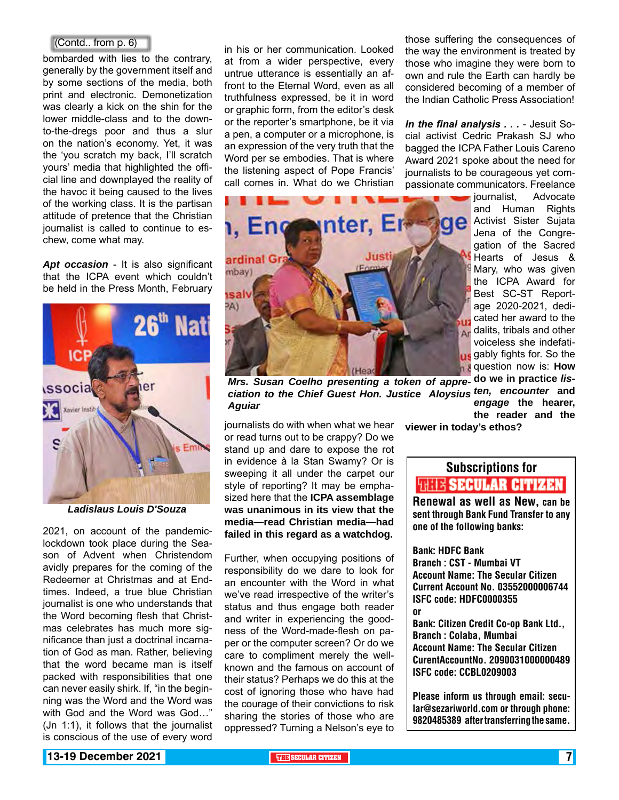### (Contd.. from p. 6)

bombarded with lies to the contrary, generally by the government itself and by some sections of the media, both print and electronic. Demonetization was clearly a kick on the shin for the lower middle-class and to the downto-the-dregs poor and thus a slur on the nation's economy. Yet, it was the 'you scratch my back, I'll scratch yours' media that highlighted the official line and downplayed the reality of the havoc it being caused to the lives of the working class. It is the partisan attitude of pretence that the Christian journalist is called to continue to eschew, come what may.

*Apt occasion* - It is also significant that the ICPA event which couldn't be held in the Press Month, February



*Ladislaus Louis D'Souza*

2021, on account of the pandemiclockdown took place during the Season of Advent when Christendom avidly prepares for the coming of the Redeemer at Christmas and at Endtimes. Indeed, a true blue Christian journalist is one who understands that the Word becoming flesh that Christmas celebrates has much more significance than just a doctrinal incarnation of God as man. Rather, believing that the word became man is itself packed with responsibilities that one can never easily shirk. If, "in the beginning was the Word and the Word was with God and the Word was God…" (Jn 1:1), it follows that the journalist is conscious of the use of every word

in his or her communication. Looked at from a wider perspective, every untrue utterance is essentially an affront to the Eternal Word, even as all truthfulness expressed, be it in word or graphic form, from the editor's desk or the reporter's smartphone, be it via a pen, a computer or a microphone, is an expression of the very truth that the Word per se embodies. That is where the listening aspect of Pope Francis' call comes in. What do we Christian



*Mrs. Susan Coelho presenting a token of appre-***do we in practice** *lisciation to the Chief Guest Hon. Justice Aloysius ten, encounter* **and**  *Aguiar*

journalists do with when what we hear or read turns out to be crappy? Do we stand up and dare to expose the rot in evidence à la Stan Swamy? Or is sweeping it all under the carpet our style of reporting? It may be emphasized here that the **ICPA assemblage was unanimous in its view that the media—read Christian media—had failed in this regard as a watchdog.**

Further, when occupying positions of responsibility do we dare to look for an encounter with the Word in what we've read irrespective of the writer's status and thus engage both reader and writer in experiencing the goodness of the Word-made-flesh on paper or the computer screen? Or do we care to compliment merely the wellknown and the famous on account of their status? Perhaps we do this at the cost of ignoring those who have had the courage of their convictions to risk sharing the stories of those who are oppressed? Turning a Nelson's eye to those suffering the consequences of the way the environment is treated by those who imagine they were born to own and rule the Earth can hardly be considered becoming of a member of the Indian Catholic Press Association!

*In the final analysis . . .* - Jesuit Social activist Cedric Prakash SJ who bagged the ICPA Father Louis Careno Award 2021 spoke about the need for journalists to be courageous yet compassionate communicators. Freelance

> **iournalist, Advocate** and Human Rights Activist Sister Sujata Jena of the Congregation of the Sacred Hearts of Jesus & Mary, who was given the ICPA Award for Best SC-ST Reportage 2020-2021, dedicated her award to the dalits, tribals and other voiceless she indefati**us** gably fights for. So the **g** question now is: **How** *engage* **the hearer,**

**the reader and the** 

**viewer in today's ethos?**

## Subscriptions for **THIS SECULAR CITIZEN**<br>Renewal as well as New, can be

sent through Bank Fund Transfer to any one of the following banks:

Bank: HDFC Bank Branch : CST - Mumbai VT Account Name: The Secular Citizen Current Account No. 03552000006744 ISFC code: HDFC0000355 or

Bank: Citizen Credit Co-op Bank Ltd., Branch : Colaba, Mumbai Account Name: The Secular Citizen CurentAccountNo. 2090031000000489 ISFC code: CCBL0209003

Please inform us through email: secular@sezariworld.com or through phone: 9820485389 after transferring the same.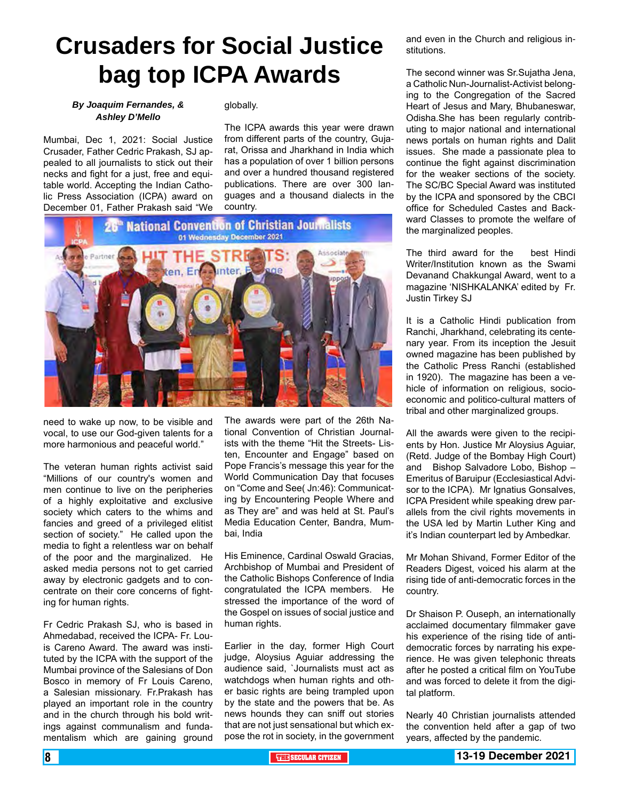# **Crusaders for Social Justice bag top ICPA Awards**

### *By Joaquim Fernandes, & Ashley D'Mello*

Mumbai, Dec 1, 2021: Social Justice Crusader, Father Cedric Prakash, SJ appealed to all journalists to stick out their necks and fight for a just, free and equitable world. Accepting the Indian Catholic Press Association (ICPA) award on December 01, Father Prakash said "We globally.

The ICPA awards this year were drawn from different parts of the country, Gujarat, Orissa and Jharkhand in India which has a population of over 1 billion persons and over a hundred thousand registered publications. There are over 300 languages and a thousand dialects in the country.



need to wake up now, to be visible and vocal, to use our God-given talents for a more harmonious and peaceful world."

The veteran human rights activist said "Millions of our country's women and men continue to live on the peripheries of a highly exploitative and exclusive society which caters to the whims and fancies and greed of a privileged elitist section of society." He called upon the media to fight a relentless war on behalf of the poor and the marginalized. He asked media persons not to get carried away by electronic gadgets and to concentrate on their core concerns of fighting for human rights.

Fr Cedric Prakash SJ, who is based in Ahmedabad, received the ICPA- Fr. Louis Careno Award. The award was instituted by the ICPA with the support of the Mumbai province of the Salesians of Don Bosco in memory of Fr Louis Careno, a Salesian missionary. Fr.Prakash has played an important role in the country and in the church through his bold writings against communalism and fundamentalism which are gaining ground

The awards were part of the 26th National Convention of Christian Journalists with the theme "Hit the Streets- Listen, Encounter and Engage" based on Pope Francis's message this year for the World Communication Day that focuses on "Come and See( Jn:46): Communicating by Encountering People Where and as They are" and was held at St. Paul's Media Education Center, Bandra, Mumbai, India

His Eminence, Cardinal Oswald Gracias, Archbishop of Mumbai and President of the Catholic Bishops Conference of India congratulated the ICPA members. He stressed the importance of the word of the Gospel on issues of social justice and human rights.

Earlier in the day, former High Court judge, Aloysius Aguiar addressing the audience said, `Journalists must act as watchdogs when human rights and other basic rights are being trampled upon by the state and the powers that be. As news hounds they can sniff out stories that are not just sensational but which expose the rot in society, in the government and even in the Church and religious institutions.

The second winner was Sr.Sujatha Jena, a Catholic Nun-Journalist-Activist belonging to the Congregation of the Sacred Heart of Jesus and Mary, Bhubaneswar, Odisha.She has been regularly contributing to major national and international news portals on human rights and Dalit issues. She made a passionate plea to continue the fight against discrimination for the weaker sections of the society. The SC/BC Special Award was instituted by the ICPA and sponsored by the CBCI office for Scheduled Castes and Backward Classes to promote the welfare of the marginalized peoples.

The third award for the best Hindi Writer/Institution known as the Swami Devanand Chakkungal Award, went to a magazine 'NISHKALANKA' edited by Fr. Justin Tirkey SJ

It is a Catholic Hindi publication from Ranchi, Jharkhand, celebrating its centenary year. From its inception the Jesuit owned magazine has been published by the Catholic Press Ranchi (established in 1920). The magazine has been a vehicle of information on religious, socioeconomic and politico-cultural matters of tribal and other marginalized groups.

All the awards were given to the recipients by Hon. Justice Mr Aloysius Aguiar, (Retd. Judge of the Bombay High Court) and Bishop Salvadore Lobo, Bishop – Emeritus of Baruipur (Ecclesiastical Advisor to the ICPA). Mr Ignatius Gonsalves, ICPA President while speaking drew parallels from the civil rights movements in the USA led by Martin Luther King and it's Indian counterpart led by Ambedkar.

Mr Mohan Shivand, Former Editor of the Readers Digest, voiced his alarm at the rising tide of anti-democratic forces in the country.

Dr Shaison P. Ouseph, an internationally acclaimed documentary filmmaker gave his experience of the rising tide of antidemocratic forces by narrating his experience. He was given telephonic threats after he posted a critical film on YouTube and was forced to delete it from the digital platform.

Nearly 40 Christian journalists attended the convention held after a gap of two years, affected by the pandemic.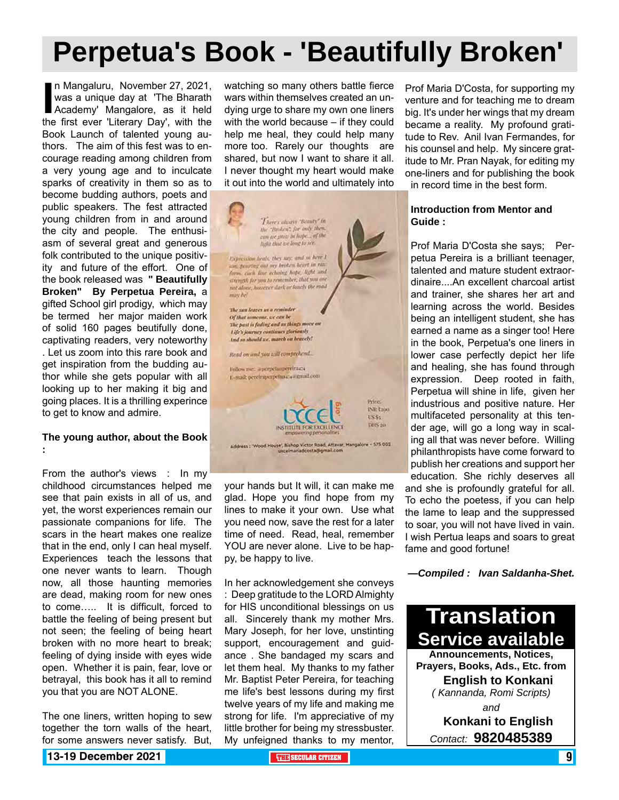# **Perpetua's Book - 'Beautifully Broken'**

In Mangaluru, November 27, 2021, was a unique day at 'The Bharath Academy' Mangalore, as it held the first ever 'Literary Day', with the n Mangaluru, November 27, 2021, was a unique day at 'The Bharath Academy' Mangalore, as it held Book Launch of talented young authors. The aim of this fest was to encourage reading among children from a very young age and to inculcate sparks of creativity in them so as to become budding authors, poets and public speakers. The fest attracted young children from in and around the city and people. The enthusiasm of several great and generous folk contributed to the unique positivity and future of the effort. One of the book released was **" Beautifully Broken" By Perpetua Pereira,** a gifted School girl prodigy, which may be termed her major maiden work of solid 160 pages beutifully done, captivating readers, very noteworthy . Let us zoom into this rare book and get inspiration from the budding author while she gets popular with all looking up to her making it big and going places. It is a thrilling experince to get to know and admire.

#### **The young author, about the Book :**

From the author's views : In my childhood circumstances helped me see that pain exists in all of us, and yet, the worst experiences remain our passionate companions for life. The scars in the heart makes one realize that in the end, only I can heal myself. Experiences teach the lessons that one never wants to learn. Though now, all those haunting memories are dead, making room for new ones to come….. It is difficult, forced to battle the feeling of being present but not seen; the feeling of being heart broken with no more heart to break; feeling of dying inside with eyes wide open. Whether it is pain, fear, love or betrayal, this book has it all to remind you that you are NOT ALONE.

The one liners, written hoping to sew together the torn walls of the heart, for some answers never satisfy. But, watching so many others battle fierce wars within themselves created an undying urge to share my own one liners with the world because – if they could help me heal, they could help many more too. Rarely our thoughts are shared, but now I want to share it all. I never thought my heart would make it out into the world and ultimately into



your hands but It will, it can make me glad. Hope you find hope from my lines to make it your own. Use what you need now, save the rest for a later time of need. Read, heal, remember YOU are never alone. Live to be happy, be happy to live.

In her acknowledgement she conveys : Deep gratitude to the LORD Almighty for HIS unconditional blessings on us all. Sincerely thank my mother Mrs. Mary Joseph, for her love, unstinting support, encouragement and guidance . She bandaged my scars and let them heal. My thanks to my father Mr. Baptist Peter Pereira, for teaching me life's best lessons during my first twelve years of my life and making me strong for life. I'm appreciative of my little brother for being my stressbuster. My unfeigned thanks to my mentor,

Prof Maria D'Costa, for supporting my venture and for teaching me to dream big. It's under her wings that my dream became a reality. My profound gratitude to Rev. Anil Ivan Fermandes, for his counsel and help. My sincere gratitude to Mr. Pran Nayak, for editing my one-liners and for publishing the book

in record time in the best form.

### **Introduction from Mentor and Guide :**

Prof Maria D'Costa she says; Perpetua Pereira is a brilliant teenager, talented and mature student extraordinaire....An excellent charcoal artist and trainer, she shares her art and learning across the world. Besides being an intelligent student, she has earned a name as a singer too! Here in the book, Perpetua's one liners in lower case perfectly depict her life and healing, she has found through expression. Deep rooted in faith, Perpetua will shine in life, given her industrious and positive nature. Her multifaceted personality at this tender age, will go a long way in scaling all that was never before. Willing philanthropists have come forward to publish her creations and support her education. She richly deserves all and she is profoundly grateful for all. To echo the poetess, if you can help the lame to leap and the suppressed to soar, you will not have lived in vain. I wish Pertua leaps and soars to great fame and good fortune!

*—Compiled : Ivan Saldanha-Shet.*

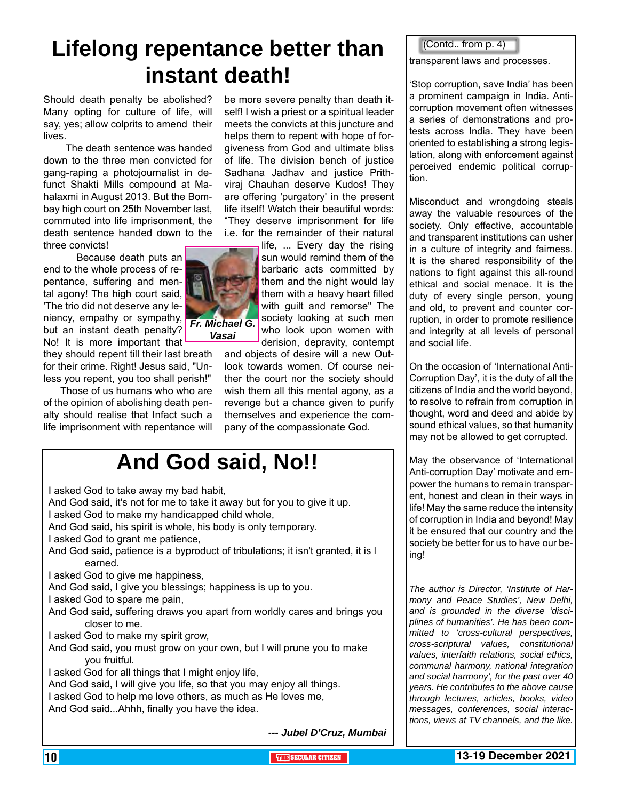## **Lifelong repentance better than instant death!**

Should death penalty be abolished? Many opting for culture of life, will say, yes; allow colprits to amend their lives.

 The death sentence was handed down to the three men convicted for gang-raping a photojournalist in defunct Shakti Mills compound at Mahalaxmi in August 2013. But the Bombay high court on 25th November last, commuted into life imprisonment, the death sentence handed down to the three convicts!

 Because death puts an end to the whole process of repentance, suffering and mental agony! The high court said, 'The trio did not deserve any leniency, empathy or sympathy, but an instant death penalty? No! It is more important that

they should repent till their last breath for their crime. Right! Jesus said, "Unless you repent, you too shall perish!"

 Those of us humans who who are of the opinion of abolishing death penalty should realise that Infact such a life imprisonment with repentance will

be more severe penalty than death itself! I wish a priest or a spiritual leader meets the convicts at this juncture and helps them to repent with hope of forgiveness from God and ultimate bliss of life. The division bench of justice Sadhana Jadhav and justice Prithviraj Chauhan deserve Kudos! They are offering 'purgatory' in the present life itself! Watch their beautiful words: "They deserve imprisonment for life i.e. for the remainder of their natural

> life, ... Every day the rising sun would remind them of the barbaric acts committed by them and the night would lay them with a heavy heart filled with guilt and remorse" The society looking at such men who look upon women with derision, depravity, contempt

and objects of desire will a new Outlook towards women. Of course neither the court nor the society should wish them all this mental agony, as a revenge but a chance given to purify themselves and experience the company of the compassionate God.

## **And God said, No!!**

| I asked God to take away my bad habit,                                                 |
|----------------------------------------------------------------------------------------|
| And God said, it's not for me to take it away but for you to give it up.               |
| I asked God to make my handicapped child whole,                                        |
| And God said, his spirit is whole, his body is only temporary.                         |
| I asked God to grant me patience,                                                      |
| And God said, patience is a byproduct of tribulations; it isn't granted, it is I       |
| earned.                                                                                |
| I asked God to give me happiness,                                                      |
| And God said, I give you blessings; happiness is up to you.                            |
| I asked God to spare me pain,                                                          |
| And God said, suffering draws you apart from worldly cares and brings you              |
| closer to me.                                                                          |
| I asked God to make my spirit grow,                                                    |
| And God said, you must grow on your own, but I will prune you to make<br>you fruitful. |
| I asked God for all things that I might enjoy life,                                    |
| And God said, I will give you life, so that you may enjoy all things.                  |
| I asked God to help me love others, as much as He loves me,                            |
| And God saidAhhh, finally you have the idea.                                           |
| --- Jubel D'Cruz, Mumbai                                                               |
|                                                                                        |

(Contd.. from p. 4)

transparent laws and processes.

'Stop corruption, save India' has been a prominent campaign in India. Anticorruption movement often witnesses a series of demonstrations and protests across India. They have been oriented to establishing a strong legislation, along with enforcement against perceived endemic political corruption.

Misconduct and wrongdoing steals away the valuable resources of the society. Only effective, accountable and transparent institutions can usher in a culture of integrity and fairness. It is the shared responsibility of the nations to fight against this all-round ethical and social menace. It is the duty of every single person, young and old, to prevent and counter corruption, in order to promote resilience and integrity at all levels of personal and social life.

On the occasion of 'International Anti-Corruption Day', it is the duty of all the citizens of India and the world beyond, to resolve to refrain from corruption in thought, word and deed and abide by sound ethical values, so that humanity may not be allowed to get corrupted.

May the observance of 'International Anti-corruption Day' motivate and empower the humans to remain transparent, honest and clean in their ways in life! May the same reduce the intensity of corruption in India and beyond! May it be ensured that our country and the society be better for us to have our being!

*The author is Director, 'Institute of Harmony and Peace Studies', New Delhi, and is grounded in the diverse 'disciplines of humanities'. He has been committed to 'cross-cultural perspectives, cross-scriptural values, constitutional values, interfaith relations, social ethics, communal harmony, national integration and social harmony', for the past over 40 years. He contributes to the above cause through lectures, articles, books, video messages, conferences, social interactions, views at TV channels, and the like.* 

*Fr. Michael G. Vasai*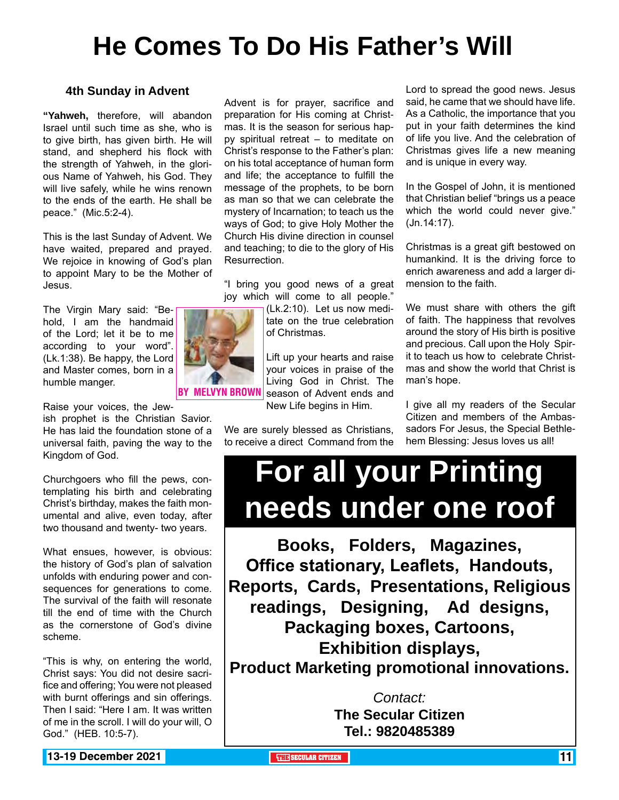# **He Comes To Do His Father's Will**

### **4th Sunday in Advent**

**"Yahweh,** therefore, will abandon Israel until such time as she, who is to give birth, has given birth. He will stand, and shepherd his flock with the strength of Yahweh, in the glorious Name of Yahweh, his God. They will live safely, while he wins renown to the ends of the earth. He shall be peace." (Mic.5:2-4).

This is the last Sunday of Advent. We have waited, prepared and prayed. We rejoice in knowing of God's plan to appoint Mary to be the Mother of Jesus.

The Virgin Mary said: "Behold, I am the handmaid of the Lord; let it be to me according to your word". (Lk.1:38). Be happy, the Lord and Master comes, born in a humble manger.

Raise your voices, the Jew-

ish prophet is the Christian Savior. He has laid the foundation stone of a universal faith, paving the way to the Kingdom of God.

Churchgoers who fill the pews, contemplating his birth and celebrating Christ's birthday, makes the faith monumental and alive, even today, after two thousand and twenty- two years.

What ensues, however, is obvious: the history of God's plan of salvation unfolds with enduring power and consequences for generations to come. The survival of the faith will resonate till the end of time with the Church as the cornerstone of God's divine scheme.

"This is why, on entering the world, Christ says: You did not desire sacrifice and offering; You were not pleased with burnt offerings and sin offerings. Then I said: "Here I am. It was written of me in the scroll. I will do your will, O God." (HEB. 10:5-7).

Advent is for prayer, sacrifice and preparation for His coming at Christmas. It is the season for serious happy spiritual retreat – to meditate on Christ's response to the Father's plan: on his total acceptance of human form and life; the acceptance to fulfill the message of the prophets, to be born as man so that we can celebrate the mystery of Incarnation; to teach us the ways of God; to give Holy Mother the Church His divine direction in counsel and teaching; to die to the glory of His Resurrection.

"I bring you good news of a great joy which will come to all people."

> (Lk.2:10). Let us now meditate on the true celebration of Christmas.

Lift up your hearts and raise your voices in praise of the Living God in Christ. The season of Advent ends and New Life begins in Him.

We are surely blessed as Christians, to receive a direct Command from the

Lord to spread the good news. Jesus said, he came that we should have life. As a Catholic, the importance that you put in your faith determines the kind of life you live. And the celebration of Christmas gives life a new meaning and is unique in every way.

In the Gospel of John, it is mentioned that Christian belief "brings us a peace which the world could never give." (Jn.14:17).

Christmas is a great gift bestowed on humankind. It is the driving force to enrich awareness and add a larger dimension to the faith.

We must share with others the gift of faith. The happiness that revolves around the story of His birth is positive and precious. Call upon the Holy Spirit to teach us how to celebrate Christmas and show the world that Christ is man's hope.

I give all my readers of the Secular Citizen and members of the Ambassadors For Jesus, the Special Bethlehem Blessing: Jesus loves us all!

# **For all your Printing needs under one roof**

**Books, Folders, Magazines, Office stationary, Leaflets, Handouts, Reports, Cards, Presentations, Religious readings, Designing, Ad designs, Packaging boxes, Cartoons, Exhibition displays, Product Marketing promotional innovations.**

> *Contact:* **The Secular Citizen Tel.: 9820485389**

By Melvyn Brown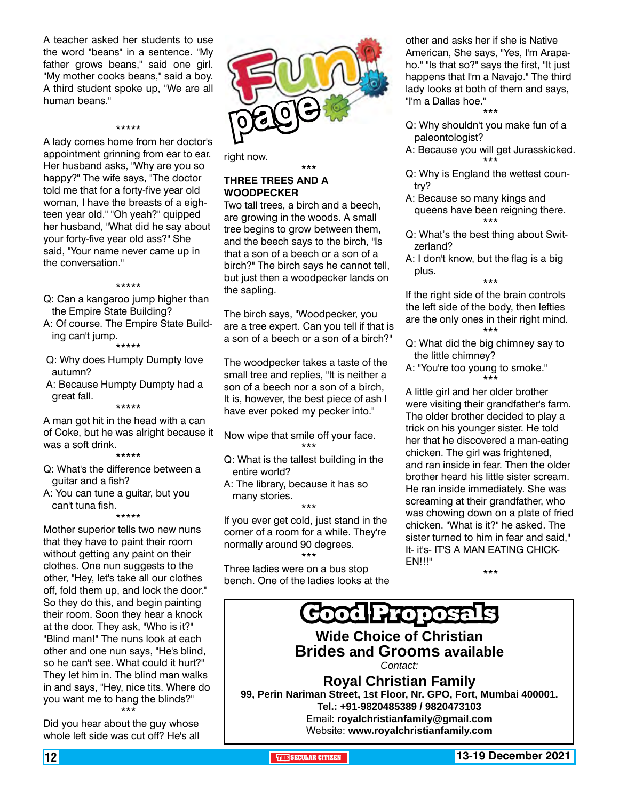A teacher asked her students to use the word "beans" in a sentence. "My father grows beans," said one girl. "My mother cooks beans," said a boy. A third student spoke up, "We are all human beans."

\*\*\*\*\* A lady comes home from her doctor's appointment grinning from ear to ear. Her husband asks, "Why are you so happy?" The wife says, "The doctor told me that for a forty-five year old woman, I have the breasts of a eighteen year old." "Oh yeah?" quipped her husband, "What did he say about your forty-five year old ass?" She said, "Your name never came up in the conversation."

#### \*\*\*\*\*

- Q: Can a kangaroo jump higher than the Empire State Building?
- A: Of course. The Empire State Building can't jump. \*\*\*\*\*
- Q: Why does Humpty Dumpty love autumn?
- A: Because Humpty Dumpty had a great fall.

\*\*\*\*\*

A man got hit in the head with a can of Coke, but he was alright because it was a soft drink.

\*\*\*\*\*

- Q: What's the difference between a guitar and a fish?
- A: You can tune a guitar, but you can't tuna fish.

\*\*\*\*\*

Mother superior tells two new nuns that they have to paint their room without getting any paint on their clothes. One nun suggests to the other, "Hey, let's take all our clothes off, fold them up, and lock the door." So they do this, and begin painting their room. Soon they hear a knock at the door. They ask, "Who is it?" "Blind man!" The nuns look at each other and one nun says, "He's blind, so he can't see. What could it hurt?" They let him in. The blind man walks in and says, "Hey, nice tits. Where do you want me to hang the blinds?" \*\*\*

Did you hear about the guy whose whole left side was cut off? He's all



right now.

#### \*\*\* **THREE TREES AND A WOODPECKER**

Two tall trees, a birch and a beech, are growing in the woods. A small tree begins to grow between them, and the beech says to the birch, "Is that a son of a beech or a son of a birch?" The birch says he cannot tell, but just then a woodpecker lands on the sapling.

The birch says, "Woodpecker, you are a tree expert. Can you tell if that is a son of a beech or a son of a birch?"

The woodpecker takes a taste of the small tree and replies, "It is neither a son of a beech nor a son of a birch, It is, however, the best piece of ash I have ever poked my pecker into."

- Now wipe that smile off your face. \*\*\*
- Q: What is the tallest building in the entire world?
- A: The library, because it has so many stories.

\*\*\* If you ever get cold, just stand in the corner of a room for a while. They're normally around 90 degrees. \*\*\*

Three ladies were on a bus stop bench. One of the ladies looks at the other and asks her if she is Native American, She says, "Yes, I'm Arapaho." "Is that so?" says the first, "It just happens that I'm a Navajo." The third lady looks at both of them and says, "I'm a Dallas hoe."

- \*\*\* Q: Why shouldn't you make fun of a paleontologist?
- A: Because you will get Jurasskicked. \*\*\*
- Q: Why is England the wettest country?
- A: Because so many kings and queens have been reigning there. \*\*\*
- Q: What's the best thing about Switzerland?
- A: I don't know, but the flag is a big plus. \*\*\*

If the right side of the brain controls the left side of the body, then lefties are the only ones in their right mind. \*\*\*

- Q: What did the big chimney say to the little chimney?
- A: "You're too young to smoke." \*\*\*

A little girl and her older brother were visiting their grandfather's farm. The older brother decided to play a trick on his younger sister. He told her that he discovered a man-eating chicken. The girl was frightened, and ran inside in fear. Then the older brother heard his little sister scream. He ran inside immediately. She was screaming at their grandfather, who was chowing down on a plate of fried chicken. "What is it?" he asked. The sister turned to him in fear and said," It- it's- IT'S A MAN EATING CHICK-EN!!!"

\*\*\*



12 **THE SECULAR CITIZEN 13-19 December 2021**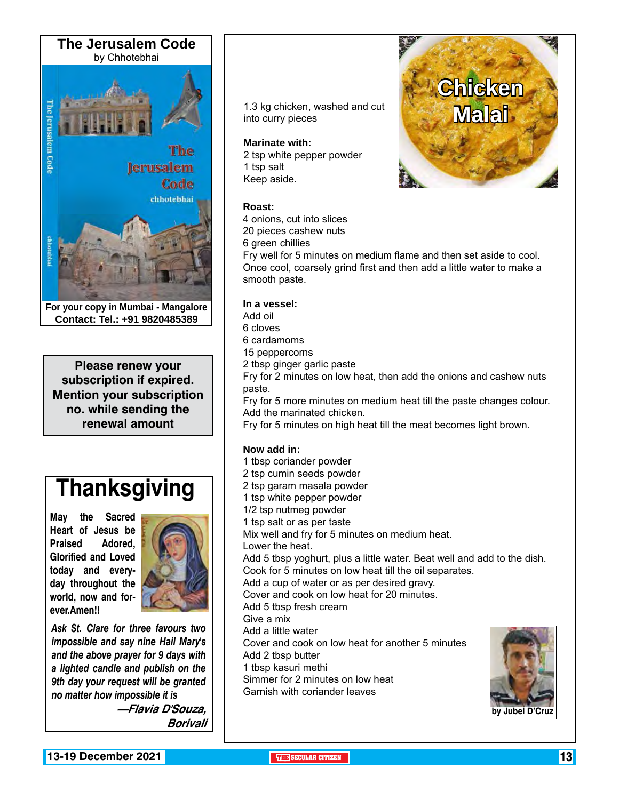

**For your copy in Mumbai - Mangalore Contact: Tel.: +91 9820485389**

**Please renew your subscription if expired. Mention your subscription no. while sending the renewal amount**

# **Thanksgiving**

**May the Sacred Heart of Jesus be Praised Adored, Glorified and Loved today and everyday throughout the world, now and forever.Amen!!**



*Ask St. Clare for three favours two impossible and say nine Hail Mary's and the above prayer for 9 days with a lighted candle and publish on the 9th day your request will be granted no matter how impossible it is*

> **—Flavia D'Souza, Borivali**

1.3 kg chicken, washed and cut<br>into curry pieces into curry pieces

#### **Marinate with:**

2 tsp white pepper powder 1 tsp salt Keep aside.

### **Roast:**

4 onions, cut into slices

20 pieces cashew nuts

6 green chillies

Fry well for 5 minutes on medium flame and then set aside to cool. Once cool, coarsely grind first and then add a little water to make a smooth paste.

**Chicken** 

#### **In a vessel:**

Add oil

6 cloves

6 cardamoms

15 peppercorns

2 tbsp ginger garlic paste

Fry for 2 minutes on low heat, then add the onions and cashew nuts paste.

Fry for 5 more minutes on medium heat till the paste changes colour. Add the marinated chicken.

Fry for 5 minutes on high heat till the meat becomes light brown.

### **Now add in:**

1 tbsp coriander powder 2 tsp cumin seeds powder 2 tsp garam masala powder 1 tsp white pepper powder 1/2 tsp nutmeg powder 1 tsp salt or as per taste Mix well and fry for 5 minutes on medium heat. Lower the heat. Add 5 tbsp yoghurt, plus a little water. Beat well and add to the dish. Cook for 5 minutes on low heat till the oil separates. Add a cup of water or as per desired gravy. Cover and cook on low heat for 20 minutes. Add 5 tbsp fresh cream Give a mix Add a little water Cover and cook on low heat for another 5 minutes Add 2 tbsp butter 1 tbsp kasuri methi Simmer for 2 minutes on low heat Garnish with coriander leaves

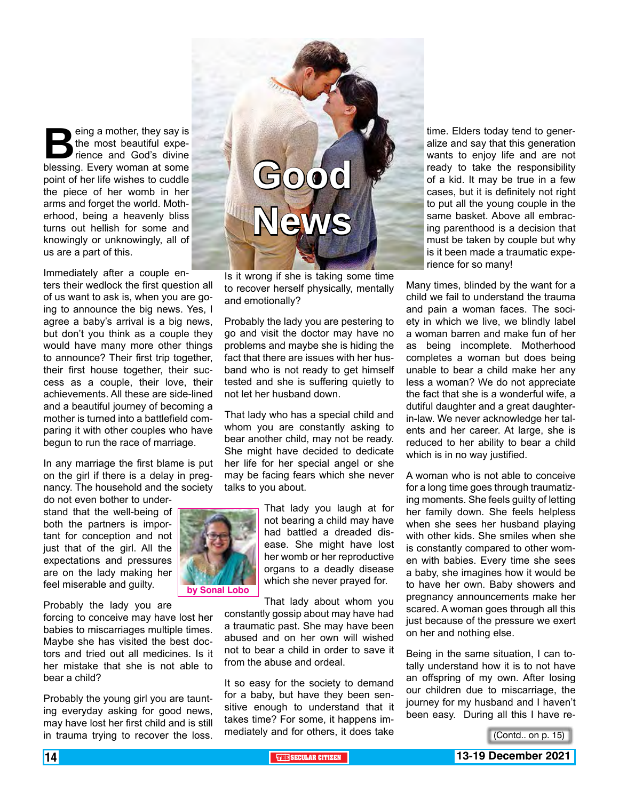**Being a mother, they say is**<br>the most beautiful experience and God's divine<br>blessing. Every woman at some the most beautiful experience and God's divine point of her life wishes to cuddle the piece of her womb in her arms and forget the world. Motherhood, being a heavenly bliss turns out hellish for some and knowingly or unknowingly, all of us are a part of this.

Immediately after a couple enters their wedlock the first question all of us want to ask is, when you are going to announce the big news. Yes, I agree a baby's arrival is a big news, but don't you think as a couple they would have many more other things to announce? Their first trip together, their first house together, their success as a couple, their love, their achievements. All these are side-lined and a beautiful journey of becoming a mother is turned into a battlefield comparing it with other couples who have begun to run the race of marriage.

In any marriage the first blame is put on the girl if there is a delay in pregnancy. The household and the society

do not even bother to understand that the well-being of both the partners is important for conception and not just that of the girl. All the expectations and pressures are on the lady making her feel miserable and guilty.

Probably the lady you are

forcing to conceive may have lost her babies to miscarriages multiple times. Maybe she has visited the best doctors and tried out all medicines. Is it her mistake that she is not able to bear a child?

Probably the young girl you are taunting everyday asking for good news, may have lost her first child and is still in trauma trying to recover the loss.



Is it wrong if she is taking some time to recover herself physically, mentally and emotionally?

Probably the lady you are pestering to go and visit the doctor may have no problems and maybe she is hiding the fact that there are issues with her husband who is not ready to get himself tested and she is suffering quietly to not let her husband down.

That lady who has a special child and whom you are constantly asking to bear another child, may not be ready. She might have decided to dedicate her life for her special angel or she may be facing fears which she never talks to you about.



not bearing a child may have had battled a dreaded disease. She might have lost her womb or her reproductive organs to a deadly disease which she never prayed for. That lady about whom you

constantly gossip about may have had a traumatic past. She may have been abused and on her own will wished not to bear a child in order to save it from the abuse and ordeal.

It so easy for the society to demand for a baby, but have they been sensitive enough to understand that it takes time? For some, it happens immediately and for others, it does take

time. Elders today tend to generalize and say that this generation wants to enjoy life and are not ready to take the responsibility of a kid. It may be true in a few cases, but it is definitely not right to put all the young couple in the same basket. Above all embracing parenthood is a decision that must be taken by couple but why is it been made a traumatic experience for so many!

Many times, blinded by the want for a child we fail to understand the trauma and pain a woman faces. The society in which we live, we blindly label a woman barren and make fun of her as being incomplete. Motherhood completes a woman but does being unable to bear a child make her any less a woman? We do not appreciate the fact that she is a wonderful wife, a dutiful daughter and a great daughterin-law. We never acknowledge her talents and her career. At large, she is reduced to her ability to bear a child which is in no way justified.

A woman who is not able to conceive for a long time goes through traumatizing moments. She feels guilty of letting her family down. She feels helpless when she sees her husband playing with other kids. She smiles when she is constantly compared to other women with babies. Every time she sees a baby, she imagines how it would be to have her own. Baby showers and pregnancy announcements make her scared. A woman goes through all this just because of the pressure we exert on her and nothing else.

Being in the same situation, I can totally understand how it is to not have an offspring of my own. After losing our children due to miscarriage, the journey for my husband and I haven't been easy. During all this I have re-

<sup>(</sup>Contd.. on p. 15)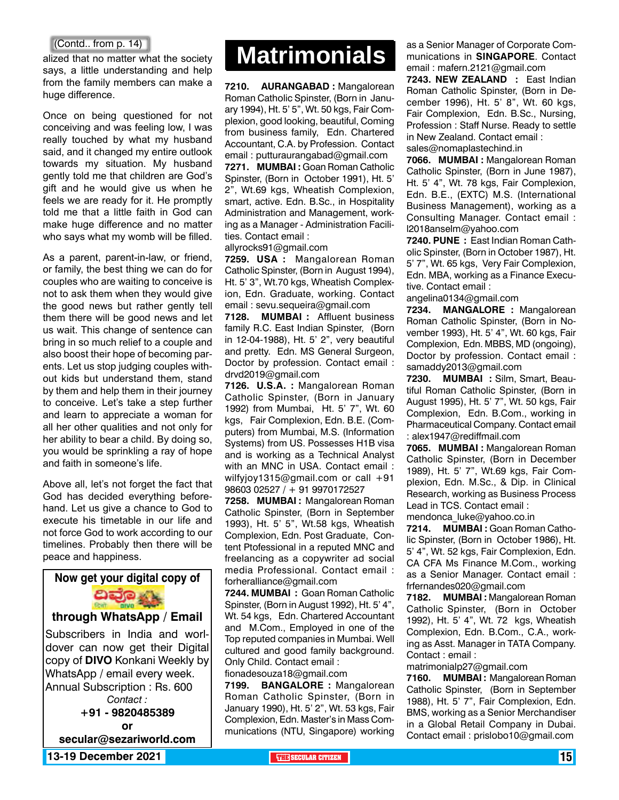alized that no matter what the society says, a little understanding and help from the family members can make a huge difference.

Once on being questioned for not conceiving and was feeling low, I was really touched by what my husband said, and it changed my entire outlook towards my situation. My husband gently told me that children are God's gift and he would give us when he feels we are ready for it. He promptly told me that a little faith in God can make huge difference and no matter who says what my womb will be filled.

As a parent, parent-in-law, or friend, or family, the best thing we can do for couples who are waiting to conceive is not to ask them when they would give the good news but rather gently tell them there will be good news and let us wait. This change of sentence can bring in so much relief to a couple and also boost their hope of becoming parents. Let us stop judging couples without kids but understand them, stand by them and help them in their journey to conceive. Let's take a step further and learn to appreciate a woman for all her other qualities and not only for her ability to bear a child. By doing so, you would be sprinkling a ray of hope and faith in someone's life.

Above all, let's not forget the fact that God has decided everything beforehand. Let us give a chance to God to execute his timetable in our life and not force God to work according to our timelines. Probably then there will be peace and happiness.



# (Contd.. from p. 14)<br>zed that no matter what the society<br>Watrimonials

**7210. AURANGABAD :** Mangalorean Roman Catholic Spinster, (Born in January 1994), Ht. 5' 5", Wt. 50 kgs, Fair Complexion, good looking, beautiful, Coming from business family, Edn. Chartered Accountant, C.A. by Profession. Contact email : putturaurangabad@gmail.com **7271. MUMBAI :** Goan Roman Catholic Spinster, (Born in October 1991), Ht. 5' 2", Wt.69 kgs, Wheatish Complexion, smart, active. Edn. B.Sc., in Hospitality Administration and Management, working as a Manager - Administration Facilities. Contact email :

allyrocks91@gmail.com

**7259. USA :** Mangalorean Roman Catholic Spinster, (Born in August 1994), Ht. 5' 3", Wt.70 kgs, Wheatish Complexion, Edn. Graduate, working. Contact email : sevu.sequeira@gmail.com

**7128. MUMBAI :** Affluent business family R.C. East Indian Spinster, (Born in 12-04-1988), Ht. 5' 2", very beautiful and pretty. Edn. MS General Surgeon, Doctor by profession. Contact email : drvd2019@gmail.com

**7126. U.S.A. :** Mangalorean Roman Catholic Spinster, (Born in January 1992) from Mumbai, Ht. 5' 7", Wt. 60 kgs, Fair Complexion, Edn. B.E. (Computers) from Mumbai, M.S. (Information Systems) from US. Possesses H1B visa and is working as a Technical Analyst with an MNC in USA. Contact email : wilfyjoy1315@gmail.com or call +91 98603 02527 / + 91 9970172527

**7258. MUMBAI :** Mangalorean Roman Catholic Spinster, (Born in September 1993), Ht. 5' 5", Wt.58 kgs, Wheatish Complexion, Edn. Post Graduate, Content Ptofessional in a reputed MNC and freelancing as a copywriter ad social media Professional. Contact email : forheralliance@gmail.com

**7244. MUMBAI :** Goan Roman Catholic Spinster, (Born in August 1992), Ht. 5' 4", Wt. 54 kgs, Edn. Chartered Accountant and M.Com., Employed in one of the Top reputed companies in Mumbai. Well cultured and good family background. Only Child. Contact email :

fionadesouza18@gmail.com

**7199. BANGALORE :** Mangalorean Roman Catholic Spinster, (Born in January 1990), Ht. 5' 2", Wt. 53 kgs, Fair Complexion, Edn. Master's in Mass Communications (NTU, Singapore) working

as a Senior Manager of Corporate Communications in **SINGAPORE**. Contact email : mafern.2121@gmail.com **7243. NEW ZEALAND :** East Indian

Roman Catholic Spinster, (Born in December 1996), Ht. 5' 8", Wt. 60 kgs, Fair Complexion, Edn. B.Sc., Nursing, Profession : Staff Nurse. Ready to settle in New Zealand. Contact email : sales@nomaplastechind.in

**7066. MUMBAI :** Mangalorean Roman Catholic Spinster, (Born in June 1987), Ht. 5' 4", Wt. 78 kgs, Fair Complexion, Edn. B.E., (EXTC) M.S. (International Business Management), working as a Consulting Manager. Contact email : l2018anselm@yahoo.com

**7240. PUNE :** East Indian Roman Catholic Spinster, (Born in October 1987), Ht. 5' 7", Wt. 65 kgs, Very Fair Complexion, Edn. MBA, working as a Finance Executive. Contact email :

angelina0134@gmail.com

**7234. MANGALORE :** Mangalorean Roman Catholic Spinster, (Born in November 1993), Ht. 5' 4", Wt. 60 kgs, Fair Complexion, Edn. MBBS, MD (ongoing), Doctor by profession. Contact email : samaddy2013@gmail.com

**7230. MUMBAI :** Silm, Smart, Beautiful Roman Catholic Spinster, (Born in August 1995), Ht. 5' 7", Wt. 50 kgs, Fair Complexion, Edn. B.Com., working in Pharmaceutical Company. Contact email : alex1947@rediffmail.com

**7065. MUMBAI :** Mangalorean Roman Catholic Spinster, (Born in December 1989), Ht. 5' 7", Wt.69 kgs, Fair Complexion, Edn. M.Sc., & Dip. in Clinical Research, working as Business Process Lead in TCS. Contact email : mendonca\_luke@yahoo.co.in

**7214. MUMBAI :** Goan Roman Catholic Spinster, (Born in October 1986), Ht. 5' 4", Wt. 52 kgs, Fair Complexion, Edn. CA CFA Ms Finance M.Com., working as a Senior Manager. Contact email : frfernandes020@gmail.com

**7182. MUMBAI :** Mangalorean Roman Catholic Spinster, (Born in October 1992), Ht. 5' 4", Wt. 72 kgs, Wheatish Complexion, Edn. B.Com., C.A., working as Asst. Manager in TATA Company. Contact : email :

matrimonialp27@gmail.com

**7160. MUMBAI :** Mangalorean Roman Catholic Spinster, (Born in September 1988), Ht. 5' 7", Fair Complexion, Edn. BMS, working as a Senior Merchandiser in a Global Retail Company in Dubai. Contact email : prislobo10@gmail.com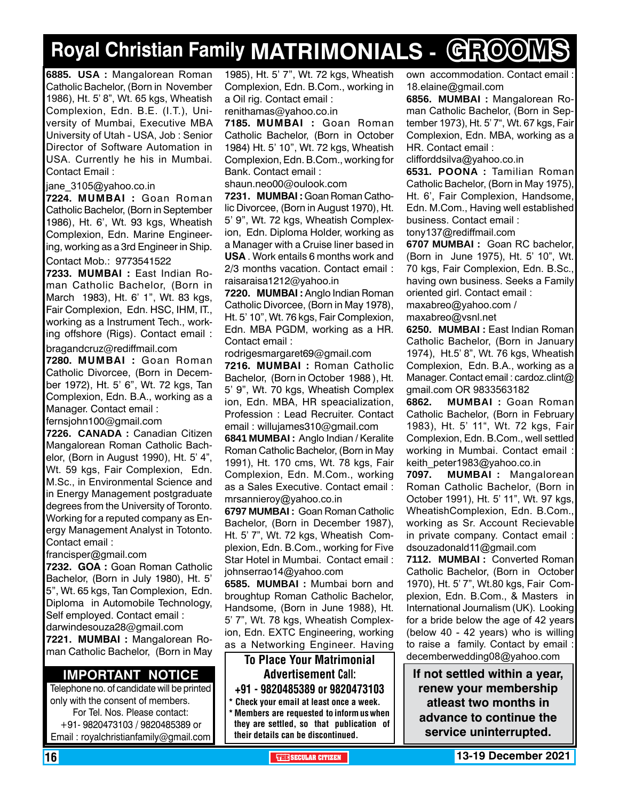# **Royal Christian Family MATRIMONIALS - GROOMS**

**6885. USA :** Mangalorean Roman Catholic Bachelor, (Born in November 1986), Ht. 5' 8", Wt. 65 kgs, Wheatish Complexion, Edn. B.E. (I.T.), University of Mumbai, Executive MBA University of Utah - USA, Job : Senior Director of Software Automation in USA. Currently he his in Mumbai. Contact Email :

jane\_3105@yahoo.co.in

**7224. MUMBAI :** Goan Roman Catholic Bachelor, (Born in September 1986), Ht. 6', Wt. 93 kgs, Wheatish Complexion, Edn. Marine Engineering, working as a 3rd Engineer in Ship.

Contact Mob.: 9773541522

**7233. MUMBAI :** East Indian Roman Catholic Bachelor, (Born in March 1983), Ht. 6' 1", Wt. 83 kgs, Fair Complexion, Edn. HSC, IHM, IT., working as a Instrument Tech., working offshore (Rigs). Contact email :

bragandcruz@rediffmail.com

**7280. MUMBAI :** Goan Roman Catholic Divorcee, (Born in December 1972), Ht. 5' 6", Wt. 72 kgs, Tan Complexion, Edn. B.A., working as a Manager. Contact email :

fernsjohn100@gmail.com

**7226. CANADA :** Canadian Citizen Mangalorean Roman Catholic Bachelor, (Born in August 1990), Ht. 5' 4", Wt. 59 kgs, Fair Complexion, Edn. M.Sc., in Environmental Science and in Energy Management postgraduate degrees from the University of Toronto. Working for a reputed company as Energy Management Analyst in Totonto. Contact email :

francisper@gmail.com

**7232. GOA :** Goan Roman Catholic Bachelor, (Born in July 1980), Ht. 5' 5", Wt. 65 kgs, Tan Complexion, Edn. Diploma in Automobile Technology, Self employed. Contact email : darwindesouza28@gmail.com

**7221. MUMBAI :** Mangalorean Roman Catholic Bachelor, (Born in May

### **Important Notice**

Telephone no. of candidate will be printed only with the consent of members. For Tel. Nos. Please contact: +91- 9820473103 / 9820485389 or Email : royalchristianfamily@gmail.com

1985), Ht. 5' 7", Wt. 72 kgs, Wheatish Complexion, Edn. B.Com., working in a Oil rig. Contact email : renithamas@yahoo.co.in

**7185. MUMBAI :** Goan Roman Catholic Bachelor, (Born in October 1984) Ht. 5' 10", Wt. 72 kgs, Wheatish Complexion, Edn. B.Com., working for Bank. Contact email :

shaun.neo00@oulook.com

**7231. MUMBAI :** Goan Roman Catholic Divorcee, (Born in August 1970), Ht. 5' 9", Wt. 72 kgs, Wheatish Complexion, Edn. Diploma Holder, working as a Manager with a Cruise liner based in **USA** . Work entails 6 months work and 2/3 months vacation. Contact email : raisaraisa1212@yahoo.in

**7220. MUMBAI :** Anglo Indian Roman Catholic Divorcee, (Born in May 1978), Ht. 5' 10", Wt. 76 kgs, Fair Complexion, Edn. MBA PGDM, working as a HR. Contact email :

rodrigesmargaret69@gmail.com

**7216. MUMBAI :** Roman Catholic Bachelor, (Born in October 1988 ), Ht. 5' 9", Wt. 70 kgs, Wheatish Complex ion, Edn. MBA, HR speacialization, Profession : Lead Recruiter. Contact email : willujames310@gmail.com

**6841 MuMBAI :** Anglo Indian / Keralite Roman Catholic Bachelor, (Born in May 1991), Ht. 170 cms, Wt. 78 kgs, Fair Complexion, Edn. M.Com., working as a Sales Executive. Contact email : mrsannieroy@yahoo.co.in

**6797 MUMBAI :** Goan Roman Catholic Bachelor, (Born in December 1987), Ht. 5' 7", Wt. 72 kgs, Wheatish Complexion, Edn. B.Com., working for Five Star Hotel in Mumbai. Contact email : johnserrao14@yahoo.com

**6585. MUMBAI :** Mumbai born and broughtup Roman Catholic Bachelor, Handsome, (Born in June 1988), Ht. 5' 7", Wt. 78 kgs, Wheatish Complexion, Edn. EXTC Engineering, working as a Networking Engineer. Having

To Place Your Matrimonial Advertisement Call: +91 - 9820485389 or 9820473103 \* Check your email at least once a week.

\* Members are requested to inform us when they are settled, so that publication of their details can be discontinued.

own accommodation. Contact email : 18.elaine@gmail.com

**6856. MuMBAI :** Mangalorean Roman Catholic Bachelor, (Born in September 1973), Ht. 5' 7", Wt. 67 kgs, Fair Complexion, Edn. MBA, working as a HR. Contact email :

clifforddsilva@yahoo.co.in

**6531. POONA :** Tamilian Roman Catholic Bachelor, (Born in May 1975), Ht. 6', Fair Complexion, Handsome, Edn. M.Com., Having well established business. Contact email : tony137@rediffmail.com

**6707 Mumbai :** Goan RC bachelor, (Born in June 1975), Ht. 5' 10", Wt. 70 kgs, Fair Complexion, Edn. B.Sc., having own business. Seeks a Family oriented girl. Contact email :

maxabreo@yahoo.com / maxabreo@vsnl.net

**6250. MUMBAI :** East Indian Roman Catholic Bachelor, (Born in January 1974), Ht.5' 8", Wt. 76 kgs, Wheatish Complexion, Edn. B.A., working as a Manager. Contact email : cardoz.clint@ gmail.com OR 9833563182

**6862. MUMBAI :** Goan Roman Catholic Bachelor, (Born in February 1983), Ht. 5' 11", Wt. 72 kgs, Fair Complexion, Edn. B.Com., well settled working in Mumbai. Contact email : keith\_peter1983@yahoo.co.in

**7097. MUMBAI :** Mangalorean Roman Catholic Bachelor, (Born in October 1991), Ht. 5' 11", Wt. 97 kgs, WheatishComplexion, Edn. B.Com., working as Sr. Account Recievable in private company. Contact email : dsouzadonald11@gmail.com

**7112. MUMBAI :** Converted Roman Catholic Bachelor, (Born in October 1970), Ht. 5' 7", Wt.80 kgs, Fair Complexion, Edn. B.Com., & Masters in International Journalism (UK). Looking for a bride below the age of 42 years (below 40 - 42 years) who is willing to raise a family. Contact by email : decemberwedding08@yahoo.com

**If not settled within a year, renew your membership atleast two months in advance to continue the service uninterrupted.**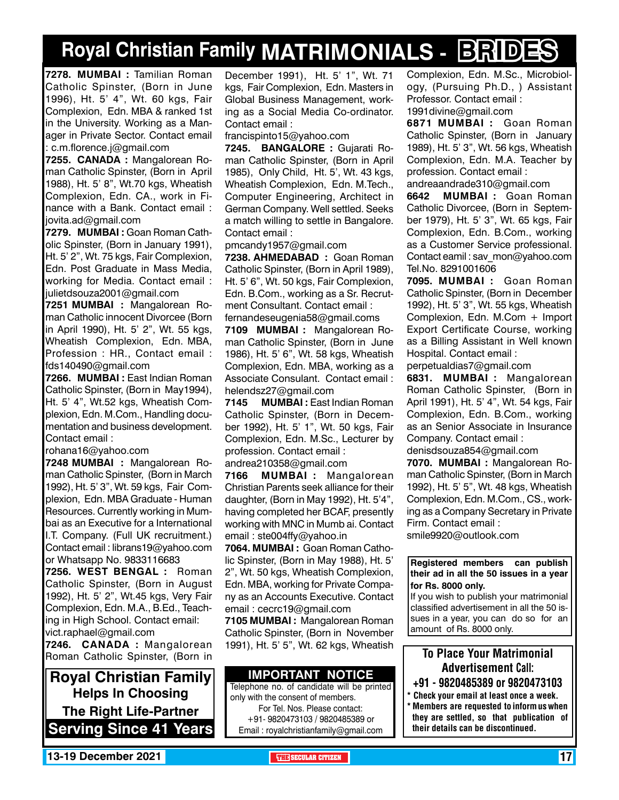# **Royal Christian Family MATRIMONIALS - BRIDES**

**7278. MUMBAI :** Tamilian Roman Catholic Spinster, (Born in June 1996), Ht. 5' 4", Wt. 60 kgs, Fair Complexion, Edn. MBA & ranked 1st in the University. Working as a Manager in Private Sector. Contact email : c.m.florence.j@gmail.com

**7255. canada :** Mangalorean Roman Catholic Spinster, (Born in April 1988), Ht. 5' 8", Wt.70 kgs, Wheatish Complexion, Edn. CA., work in Finance with a Bank. Contact email : jovita.ad@gmail.com

**7279. MUMBAI :** Goan Roman Catholic Spinster, (Born in January 1991), Ht. 5' 2", Wt. 75 kgs, Fair Complexion, Edn. Post Graduate in Mass Media, working for Media. Contact email : julietdsouza2001@gmail.com

**7251 MUMBAI :** Mangalorean Roman Catholic innocent Divorcee (Born in April 1990), Ht. 5' 2", Wt. 55 kgs, Wheatish Complexion, Edn. MBA, Profession : HR., Contact email : fds140490@gmail.com

**7266. MUMBAI :** East Indian Roman Catholic Spinster, (Born in May1994), Ht. 5' 4", Wt.52 kgs, Wheatish Complexion, Edn. M.Com., Handling documentation and business development. Contact email :

rohana16@yahoo.com

**7248 MUMBAI :** Mangalorean Roman Catholic Spinster, (Born in March 1992), Ht. 5' 3", Wt. 59 kgs, Fair Complexion, Edn. MBA Graduate - Human Resources. Currently working in Mumbai as an Executive for a International I.T. Company. (Full UK recruitment.) Contact email : librans19@yahoo.com or Whatsapp No. 9833116683

**7256. West Bengal :** Roman Catholic Spinster, (Born in August 1992), Ht. 5' 2", Wt.45 kgs, Very Fair Complexion, Edn. M.A., B.Ed., Teaching in High School. Contact email: vict.raphael@gmail.com

**7246. CANADA :** Mangalorean Roman Catholic Spinster, (Born in

**Royal Christian Family Helps In Choosing The Right Life-Partner Serving Since 41 Years** December 1991), Ht. 5' 1", Wt. 71 kgs, Fair Complexion, Edn. Masters in Global Business Management, working as a Social Media Co-ordinator. Contact email :

francispinto15@yahoo.com

**7245. BANGALORE :** Gujarati Roman Catholic Spinster, (Born in April 1985), Only Child, Ht. 5', Wt. 43 kgs, Wheatish Complexion, Edn. M.Tech., Computer Engineering, Architect in German Company. Well settled. Seeks a match willing to settle in Bangalore. Contact email :

pmcandy1957@gmail.com

**7238. AHMEDABAD :** Goan Roman Catholic Spinster, (Born in April 1989), Ht. 5' 6", Wt. 50 kgs, Fair Complexion, Edn. B.Com., working as a Sr. Recrutment Consultant. Contact email : fernandeseugenia58@gmail.coms

**7109 MUMBAI :** Mangalorean Roman Catholic Spinster, (Born in June 1986), Ht. 5' 6", Wt. 58 kgs, Wheatish Complexion, Edn. MBA, working as a Associate Consulant. Contact email : helendsz27@gmail.com

**7145 MUMBAI :** East Indian Roman Catholic Spinster, (Born in December 1992), Ht. 5' 1", Wt. 50 kgs, Fair Complexion, Edn. M.Sc., Lecturer by profession. Contact email : andrea210358@gmail.com

**7166 MUMBAI :** Mangalorean Christian Parents seek alliance for their daughter, (Born in May 1992), Ht. 5'4", having completed her BCAF, presently working with MNC in Mumb ai. Contact email : ste004ffy@yahoo.in

**7064. MUMBAI :** Goan Roman Catholic Spinster, (Born in May 1988), Ht. 5' 2", Wt. 50 kgs, Wheatish Complexion, Edn. MBA, working for Private Company as an Accounts Executive. Contact email : cecrc19@gmail.com

**7105 MUMBAI :** Mangalorean Roman Catholic Spinster, (Born in November 1991), Ht. 5' 5", Wt. 62 kgs, Wheatish

### **Important Notice**

Telephone no. of candidate will be printed only with the consent of members. For Tel. Nos. Please contact: +91- 9820473103 / 9820485389 or Email : royalchristianfamily@gmail.com

Complexion, Edn. M.Sc., Microbiology, (Pursuing Ph.D., ) Assistant Professor. Contact email : 1991divine@gmail.com

**6871 MUMBAI :** Goan Roman Catholic Spinster, (Born in January 1989), Ht. 5' 3", Wt. 56 kgs, Wheatish Complexion, Edn. M.A. Teacher by profession. Contact email : andreaandrade310@gmail.com

**6642 MUMBAI :** Goan Roman Catholic Divorcee, (Born in September 1979), Ht. 5' 3", Wt. 65 kgs, Fair Complexion, Edn. B.Com., working as a Customer Service professional. Contact eamil : sav\_mon@yahoo.com Tel.No. 8291001606

**7095. MUMBAI :** Goan Roman Catholic Spinster, (Born in December 1992), Ht. 5' 3", Wt. 55 kgs, Wheatish Complexion, Edn. M.Com + Import Export Certificate Course, working as a Billing Assistant in Well known Hospital. Contact email :

perpetualdias7@gmail.com

**6831. MUMBAI :** Mangalorean Roman Catholic Spinster, (Born in April 1991), Ht. 5' 4", Wt. 54 kgs, Fair Complexion, Edn. B.Com., working as an Senior Associate in Insurance Company. Contact email :

denisdsouza854@gmail.com

**7070. MUMBAI :** Mangalorean Roman Catholic Spinster, (Born in March 1992), Ht. 5' 5", Wt. 48 kgs, Wheatish Complexion, Edn. M.Com., CS., working as a Company Secretary in Private Firm. Contact email :

smile9920@outlook.com

**Registered members can publish their ad in all the 50 issues in a year for Rs. 8000 only.**

If you wish to publish your matrimonial classified advertisement in all the 50 issues in a year, you can do so for an amount of Rs. 8000 only.

### To Place Your Matrimonial Advertisement Call:

- +91 9820485389 or 9820473103
- Check your email at least once a week. Members are requested to inform us when they are settled, so that publication of their details can be discontinued.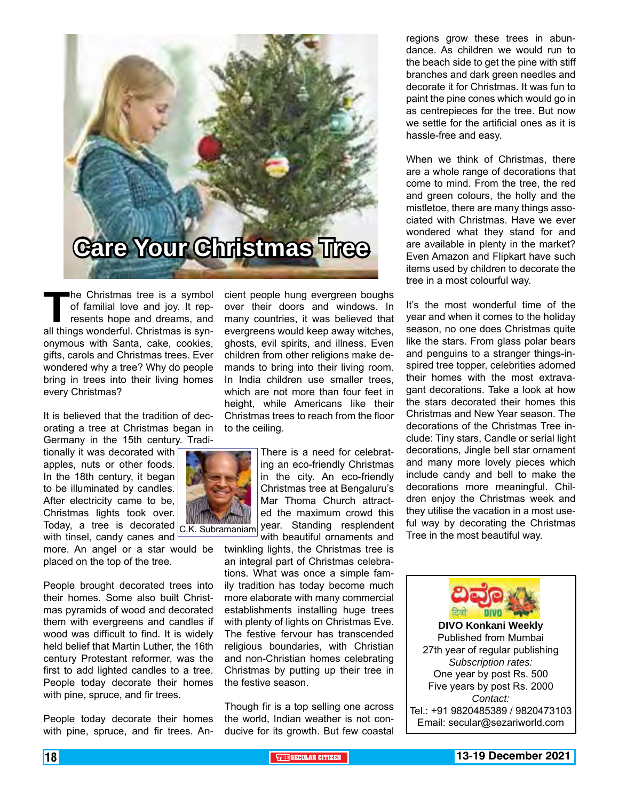

The Christmas tree is a symbol<br>of familial love and joy. It rep-<br>resents hope and dreams, and<br>all things wonderful. Christmas is synof familial love and joy. It represents hope and dreams, and all things wonderful. Christmas is synonymous with Santa, cake, cookies, gifts, carols and Christmas trees. Ever wondered why a tree? Why do people bring in trees into their living homes every Christmas?

It is believed that the tradition of decorating a tree at Christmas began in Germany in the 15th century. Tradi-

tionally it was decorated with apples, nuts or other foods. In the 18th century, it began to be illuminated by candles. After electricity came to be, Christmas lights took over. Today, a tree is decorated with tinsel, candy canes and

more. An angel or a star would be placed on the top of the tree.

People brought decorated trees into their homes. Some also built Christmas pyramids of wood and decorated them with evergreens and candles if wood was difficult to find. It is widely held belief that Martin Luther, the 16th century Protestant reformer, was the first to add lighted candles to a tree. People today decorate their homes with pine, spruce, and fir trees.

People today decorate their homes with pine, spruce, and fir trees. Ancient people hung evergreen boughs over their doors and windows. In many countries, it was believed that evergreens would keep away witches, ghosts, evil spirits, and illness. Even children from other religions make demands to bring into their living room. In India children use smaller trees. which are not more than four feet in height, while Americans like their Christmas trees to reach from the floor to the ceiling.



There is a need for celebrating an eco-friendly Christmas in the city. An eco-friendly Christmas tree at Bengaluru's Mar Thoma Church attracted the maximum crowd this year. Standing resplendent

with beautiful ornaments and twinkling lights, the Christmas tree is an integral part of Christmas celebrations. What was once a simple family tradition has today become much more elaborate with many commercial establishments installing huge trees with plenty of lights on Christmas Eve. The festive fervour has transcended religious boundaries, with Christian and non-Christian homes celebrating Christmas by putting up their tree in the festive season.

Though fir is a top selling one across the world, Indian weather is not conducive for its growth. But few coastal

regions grow these trees in abundance. As children we would run to the beach side to get the pine with stiff branches and dark green needles and decorate it for Christmas. It was fun to paint the pine cones which would go in as centrepieces for the tree. But now we settle for the artificial ones as it is hassle-free and easy.

When we think of Christmas, there are a whole range of decorations that come to mind. From the tree, the red and green colours, the holly and the mistletoe, there are many things associated with Christmas. Have we ever wondered what they stand for and are available in plenty in the market? Even Amazon and Flipkart have such items used by children to decorate the tree in a most colourful way.

It's the most wonderful time of the year and when it comes to the holiday season, no one does Christmas quite like the stars. From glass polar bears and penguins to a stranger things-inspired tree topper, celebrities adorned their homes with the most extravagant decorations. Take a look at how the stars decorated their homes this Christmas and New Year season. The decorations of the Christmas Tree include: Tiny stars, Candle or serial light decorations, Jingle bell star ornament and many more lovely pieces which include candy and bell to make the decorations more meaningful. Children enjoy the Christmas week and they utilise the vacation in a most useful way by decorating the Christmas Tree in the most beautiful way.



Published from Mumbai 27th year of regular publishing *Subscription rates:* One year by post Rs. 500 Five years by post Rs. 2000 *Contact:*  Tel.: +91 9820485389 / 9820473103 Email: secular@sezariworld.com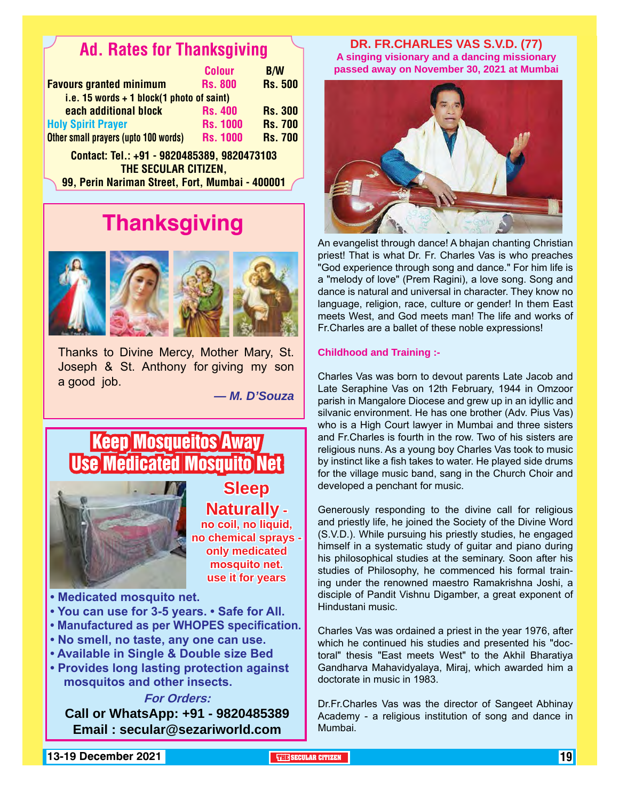## Ad. Rates for Thanksgiving

|                                                                     | <b>Colour</b>   | <b>B/W</b>     |
|---------------------------------------------------------------------|-----------------|----------------|
| <b>Favours granted minimum</b>                                      | <b>Rs. 800</b>  | <b>Rs. 500</b> |
| i.e. 15 words $+$ 1 block(1 photo of saint)                         |                 |                |
| each additional block                                               | <b>Rs. 400</b>  | <b>Rs. 300</b> |
| <b>Holy Spirit Prayer</b>                                           | <b>Rs. 1000</b> | <b>Rs. 700</b> |
| Other small prayers (upto 100 words)                                | <b>Rs. 1000</b> | <b>Rs. 700</b> |
| Contact: Tel.: +91 - 9820485389, 9820473103<br>THE SECULAR CITIZEN, |                 |                |

99, Perin Nariman Street, Fort, Mumbai - 400001

# **Thanksgiving**



Thanks to Divine Mercy, Mother Mary, St. Joseph & St. Anthony for giving my son a good job.

*— M. D'Souza*

### Keep Mosqueitos Away Use Medicated Mosquito Net



**Sleep Naturally no coil, no liquid, no chemical sprays only medicated mosquito net. use it for years**

- **Medicated mosquito net.**
- **You can use for 3-5 years. Safe for All.**
- **Manufactured as per WHOPES specification.**
- **No smell, no taste, any one can use.**
- **Available in Single & Double size Bed**
- **Provides long lasting protection against mosquitos and other insects.**

**For Orders:** 

**Call or WhatsApp: +91 - 9820485389 Email : secular@sezariworld.com**

**DR. FR.CHARLES VAS S.V.D. (77) A singing visionary and a dancing missionary passed away on November 30, 2021 at Mumbai**



An evangelist through dance! A bhajan chanting Christian priest! That is what Dr. Fr. Charles Vas is who preaches "God experience through song and dance." For him life is a "melody of love" (Prem Ragini), a love song. Song and dance is natural and universal in character. They know no language, religion, race, culture or gender! In them East meets West, and God meets man! The life and works of Fr.Charles are a ballet of these noble expressions!

### **Childhood and Training :-**

Charles Vas was born to devout parents Late Jacob and Late Seraphine Vas on 12th February, 1944 in Omzoor parish in Mangalore Diocese and grew up in an idyllic and silvanic environment. He has one brother (Adv. Pius Vas) who is a High Court lawyer in Mumbai and three sisters and Fr.Charles is fourth in the row. Two of his sisters are religious nuns. As a young boy Charles Vas took to music by instinct like a fish takes to water. He played side drums for the village music band, sang in the Church Choir and developed a penchant for music.

Generously responding to the divine call for religious and priestly life, he joined the Society of the Divine Word (S.V.D.). While pursuing his priestly studies, he engaged himself in a systematic study of guitar and piano during his philosophical studies at the seminary. Soon after his studies of Philosophy, he commenced his formal training under the renowned maestro Ramakrishna Joshi, a disciple of Pandit Vishnu Digamber, a great exponent of Hindustani music.

Charles Vas was ordained a priest in the year 1976, after which he continued his studies and presented his "doctoral" thesis "East meets West" to the Akhil Bharatiya Gandharva Mahavidyalaya, Miraj, which awarded him a doctorate in music in 1983.

Dr.Fr.Charles Vas was the director of Sangeet Abhinay Academy - a religious institution of song and dance in Mumbai.